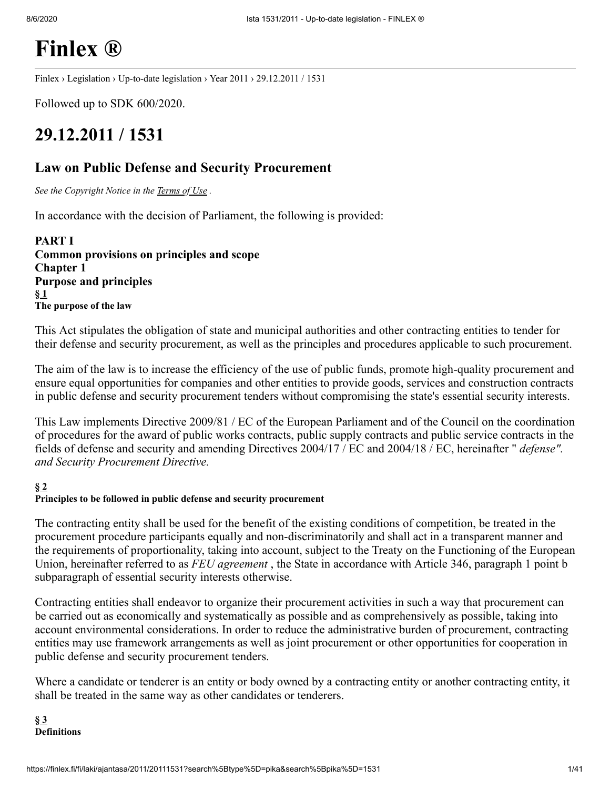# **[Finlex ®](https://finlex.fi/fi/)**

[Finlex](https://finlex.fi/fi/) › [Legislation](https://finlex.fi/fi/laki/) › [Up-to-date](https://finlex.fi/fi/laki/ajantasa/) legislation › Year [2011](https://finlex.fi/fi/laki/ajantasa/2011/) › 29.12.2011 / 1531

Followed up to SDK 600/2020.

# **29.12.2011 / 1531**

## **Law on Public Defense and Security Procurement**

*See the Copyright Notice in the [Terms](https://finlex.fi/fi/kayttoehdot/) of Use .*

In accordance with the decision of Parliament, the following is provided:

**PART I Common provisions on principles and scope Chapter 1 Purpose and principles [§](#page-39-0) 1 The purpose of the law**

This Act stipulates the obligation of state and municipal authorities and other contracting entities to tender for their defense and security procurement, as well as the principles and procedures applicable to such procurement.

The aim of the law is to increase the efficiency of the use of public funds, promote high-quality procurement and ensure equal opportunities for companies and other entities to provide goods, services and construction contracts in public defense and security procurement tenders without compromising the state's essential security interests.

This Law implements Directive 2009/81 / EC of the European Parliament and of the Council on the coordination of procedures for the award of public works contracts, public supply contracts and public service contracts in the fields of defense and security and amending Directives 2004/17 / EC and 2004/18 / EC, hereinafter " *defense". and Security Procurement Directive.*

### **[§](#page-39-0) 2**

#### **Principles to be followed in public defense and security procurement**

The contracting entity shall be used for the benefit of the existing conditions of competition, be treated in the procurement procedure participants equally and non-discriminatorily and shall act in a transparent manner and the requirements of proportionality, taking into account, subject to the Treaty on the Functioning of the European Union, hereinafter referred to as *FEU agreement* , the State in accordance with Article 346, paragraph 1 point b subparagraph of essential security interests otherwise.

Contracting entities shall endeavor to organize their procurement activities in such a way that procurement can be carried out as economically and systematically as possible and as comprehensively as possible, taking into account environmental considerations. In order to reduce the administrative burden of procurement, contracting entities may use framework arrangements as well as joint procurement or other opportunities for cooperation in public defense and security procurement tenders.

Where a candidate or tenderer is an entity or body owned by a contracting entity or another contracting entity, it shall be treated in the same way as other candidates or tenderers.

**[§](#page-39-0) 3 Definitions**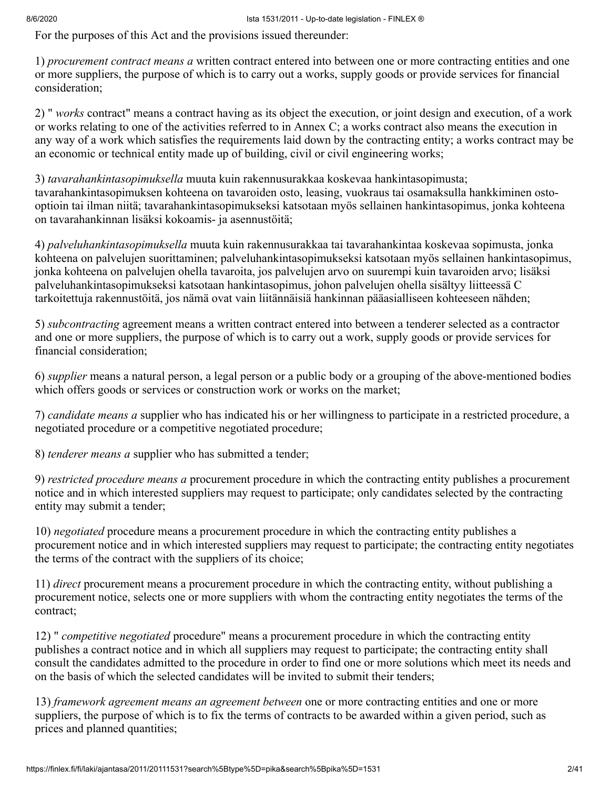For the purposes of this Act and the provisions issued thereunder:

1) *procurement contract means a* written contract entered into between one or more contracting entities and one or more suppliers, the purpose of which is to carry out a works, supply goods or provide services for financial consideration;

2) " *works* contract" means a contract having as its object the execution, or joint design and execution, of a work or works relating to one of the activities referred to in Annex C; a works contract also means the execution in any way of a work which satisfies the requirements laid down by the contracting entity; a works contract may be an economic or technical entity made up of building, civil or civil engineering works;

3) *tavarahankintasopimuksella* muuta kuin rakennusurakkaa koskevaa hankintasopimusta; tavarahankintasopimuksen kohteena on tavaroiden osto, leasing, vuokraus tai osamaksulla hankkiminen ostooptioin tai ilman niitä; tavarahankintasopimukseksi katsotaan myös sellainen hankintasopimus, jonka kohteena on tavarahankinnan lisäksi kokoamis- ja asennustöitä;

4) *palveluhankintasopimuksella* muuta kuin rakennusurakkaa tai tavarahankintaa koskevaa sopimusta, jonka kohteena on palvelujen suorittaminen; palveluhankintasopimukseksi katsotaan myös sellainen hankintasopimus, jonka kohteena on palvelujen ohella tavaroita, jos palvelujen arvo on suurempi kuin tavaroiden arvo; lisäksi palveluhankintasopimukseksi katsotaan hankintasopimus, johon palvelujen ohella sisältyy liitteessä C tarkoitettuja rakennustöitä, jos nämä ovat vain liitännäisiä hankinnan pääasialliseen kohteeseen nähden;

5) *subcontracting* agreement means a written contract entered into between a tenderer selected as a contractor and one or more suppliers, the purpose of which is to carry out a work, supply goods or provide services for financial consideration;

6) *supplier* means a natural person, a legal person or a public body or a grouping of the above-mentioned bodies which offers goods or services or construction work or works on the market;

7) *candidate means a* supplier who has indicated his or her willingness to participate in a restricted procedure, a negotiated procedure or a competitive negotiated procedure;

8) *tenderer means a* supplier who has submitted a tender;

9) *restricted procedure means a* procurement procedure in which the contracting entity publishes a procurement notice and in which interested suppliers may request to participate; only candidates selected by the contracting entity may submit a tender;

10) *negotiated* procedure means a procurement procedure in which the contracting entity publishes a procurement notice and in which interested suppliers may request to participate; the contracting entity negotiates the terms of the contract with the suppliers of its choice;

11) *direct* procurement means a procurement procedure in which the contracting entity, without publishing a procurement notice, selects one or more suppliers with whom the contracting entity negotiates the terms of the contract;

12) " *competitive negotiated* procedure" means a procurement procedure in which the contracting entity publishes a contract notice and in which all suppliers may request to participate; the contracting entity shall consult the candidates admitted to the procedure in order to find one or more solutions which meet its needs and on the basis of which the selected candidates will be invited to submit their tenders;

13) *framework agreement means an agreement between* one or more contracting entities and one or more suppliers, the purpose of which is to fix the terms of contracts to be awarded within a given period, such as prices and planned quantities;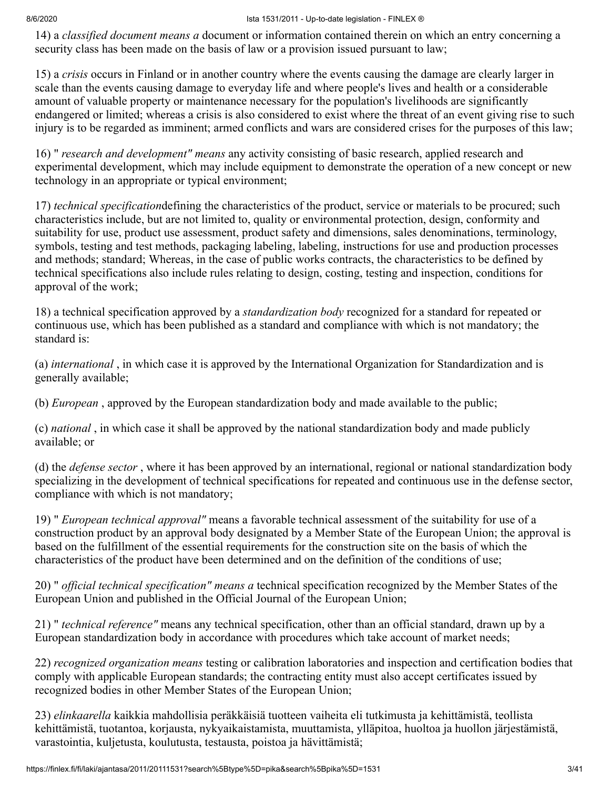14) a *classified document means a* document or information contained therein on which an entry concerning a security class has been made on the basis of law or a provision issued pursuant to law;

15) a *crisis* occurs in Finland or in another country where the events causing the damage are clearly larger in scale than the events causing damage to everyday life and where people's lives and health or a considerable amount of valuable property or maintenance necessary for the population's livelihoods are significantly endangered or limited; whereas a crisis is also considered to exist where the threat of an event giving rise to such injury is to be regarded as imminent; armed conflicts and wars are considered crises for the purposes of this law;

16) " *research and development" means* any activity consisting of basic research, applied research and experimental development, which may include equipment to demonstrate the operation of a new concept or new technology in an appropriate or typical environment;

17) *technical specification*defining the characteristics of the product, service or materials to be procured; such characteristics include, but are not limited to, quality or environmental protection, design, conformity and suitability for use, product use assessment, product safety and dimensions, sales denominations, terminology, symbols, testing and test methods, packaging labeling, labeling, instructions for use and production processes and methods; standard; Whereas, in the case of public works contracts, the characteristics to be defined by technical specifications also include rules relating to design, costing, testing and inspection, conditions for approval of the work;

18) a technical specification approved by a *standardization body* recognized for a standard for repeated or continuous use, which has been published as a standard and compliance with which is not mandatory; the standard is:

(a) *international* , in which case it is approved by the International Organization for Standardization and is generally available;

(b) *European* , approved by the European standardization body and made available to the public;

(c) *national* , in which case it shall be approved by the national standardization body and made publicly available; or

(d) the *defense sector* , where it has been approved by an international, regional or national standardization body specializing in the development of technical specifications for repeated and continuous use in the defense sector, compliance with which is not mandatory;

19) " *European technical approval"* means a favorable technical assessment of the suitability for use of a construction product by an approval body designated by a Member State of the European Union; the approval is based on the fulfillment of the essential requirements for the construction site on the basis of which the characteristics of the product have been determined and on the definition of the conditions of use;

20) " *official technical specification" means a* technical specification recognized by the Member States of the European Union and published in the Official Journal of the European Union;

21) " *technical reference"* means any technical specification, other than an official standard, drawn up by a European standardization body in accordance with procedures which take account of market needs;

22) *recognized organization means* testing or calibration laboratories and inspection and certification bodies that comply with applicable European standards; the contracting entity must also accept certificates issued by recognized bodies in other Member States of the European Union;

23) *elinkaarella* kaikkia mahdollisia peräkkäisiä tuotteen vaiheita eli tutkimusta ja kehittämistä, teollista kehittämistä, tuotantoa, korjausta, nykyaikaistamista, muuttamista, ylläpitoa, huoltoa ja huollon järjestämistä, varastointia, kuljetusta, koulutusta, testausta, poistoa ja hävittämistä;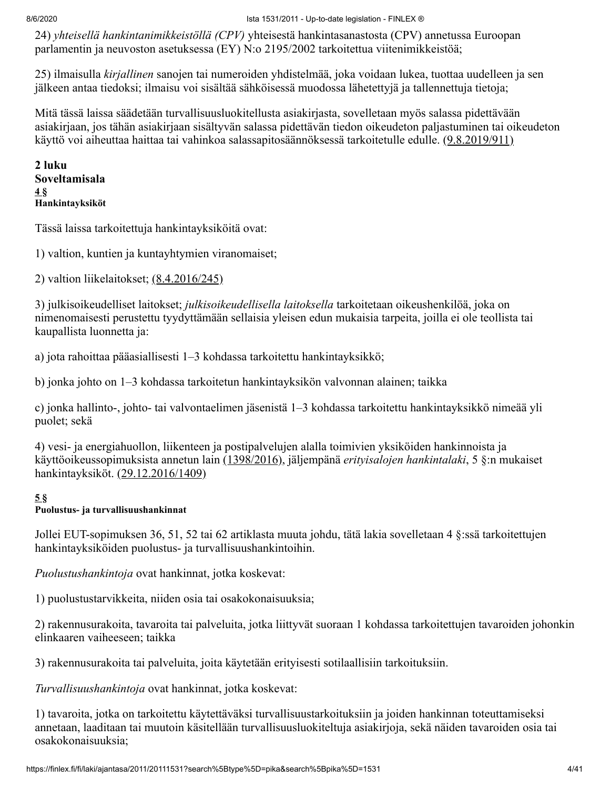24) *yhteisellä hankintanimikkeistöllä (CPV)* yhteisestä hankintasanastosta (CPV) annetussa Euroopan parlamentin ja neuvoston asetuksessa (EY) N:o 2195/2002 tarkoitettua viitenimikkeistöä;

25) ilmaisulla *kirjallinen* sanojen tai numeroiden yhdistelmää, joka voidaan lukea, tuottaa uudelleen ja sen jälkeen antaa tiedoksi; ilmaisu voi sisältää sähköisessä muodossa lähetettyjä ja tallennettuja tietoja;

Mitä tässä laissa säädetään turvallisuusluokitellusta asiakirjasta, sovelletaan myös salassa pidettävään asiakirjaan, jos tähän asiakirjaan sisältyvän salassa pidettävän tiedon oikeudeton paljastuminen tai oikeudeton käyttö voi aiheuttaa haittaa tai vahinkoa salassapitosäännöksessä tarkoitetulle edulle. [\(9.8.2019/911\)](#page-40-0)

**2 luku Soveltamisala [4](#page-39-0) § Hankintayksiköt**

Tässä laissa tarkoitettuja hankintayksiköitä ovat:

1) valtion, kuntien ja kuntayhtymien viranomaiset;

2) valtion liikelaitokset; [\(8.4.2016/245\)](#page-39-1)

3) julkisoikeudelliset laitokset; *julkisoikeudellisella laitoksella* tarkoitetaan oikeushenkilöä, joka on nimenomaisesti perustettu tyydyttämään sellaisia yleisen edun mukaisia tarpeita, joilla ei ole teollista tai kaupallista luonnetta ja:

a) jota rahoittaa pääasiallisesti 1–3 kohdassa tarkoitettu hankintayksikkö;

b) jonka johto on 1–3 kohdassa tarkoitetun hankintayksikön valvonnan alainen; taikka

c) jonka hallinto-, johto- tai valvontaelimen jäsenistä 1–3 kohdassa tarkoitettu hankintayksikkö nimeää yli puolet; sekä

4) vesi- ja energiahuollon, liikenteen ja postipalvelujen alalla toimivien yksiköiden hankinnoista ja käyttöoikeussopimuksista annetun lain [\(1398/2016\)](https://finlex.fi/fi/laki/ajantasa/2016/20161398), jäljempänä *erityisalojen hankintalaki*, 5 §:n mukaiset hankintayksiköt. [\(29.12.2016/1409\)](#page-39-2)

## **[5](#page-39-0) §**

## **Puolustus- ja turvallisuushankinnat**

Jollei EUT-sopimuksen 36, 51, 52 tai 62 artiklasta muuta johdu, tätä lakia sovelletaan 4 §:ssä tarkoitettujen hankintayksiköiden puolustus- ja turvallisuushankintoihin.

*Puolustushankintoja* ovat hankinnat, jotka koskevat:

1) puolustustarvikkeita, niiden osia tai osakokonaisuuksia;

2) rakennusurakoita, tavaroita tai palveluita, jotka liittyvät suoraan 1 kohdassa tarkoitettujen tavaroiden johonkin elinkaaren vaiheeseen; taikka

3) rakennusurakoita tai palveluita, joita käytetään erityisesti sotilaallisiin tarkoituksiin.

*Turvallisuushankintoja* ovat hankinnat, jotka koskevat:

1) tavaroita, jotka on tarkoitettu käytettäväksi turvallisuustarkoituksiin ja joiden hankinnan toteuttamiseksi annetaan, laaditaan tai muutoin käsitellään turvallisuusluokiteltuja asiakirjoja, sekä näiden tavaroiden osia tai osakokonaisuuksia;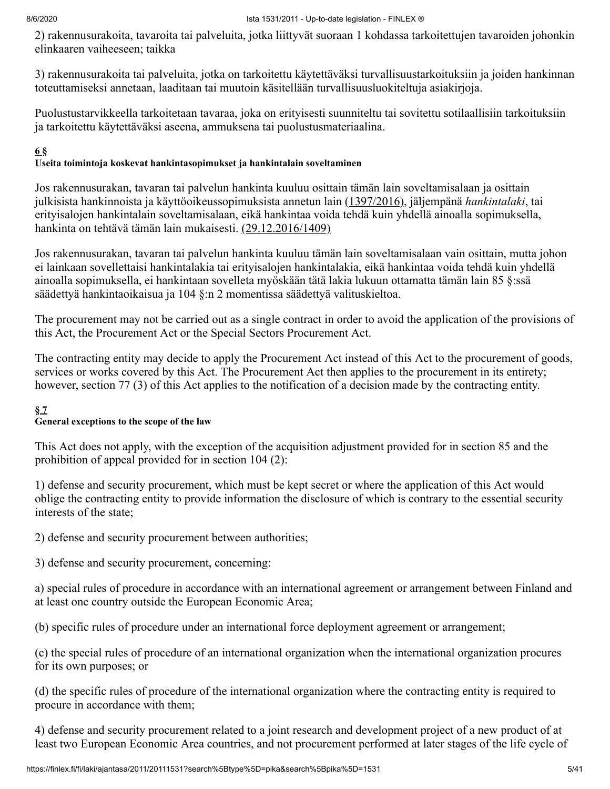2) rakennusurakoita, tavaroita tai palveluita, jotka liittyvät suoraan 1 kohdassa tarkoitettujen tavaroiden johonkin elinkaaren vaiheeseen; taikka

3) rakennusurakoita tai palveluita, jotka on tarkoitettu käytettäväksi turvallisuustarkoituksiin ja joiden hankinnan toteuttamiseksi annetaan, laaditaan tai muutoin käsitellään turvallisuusluokiteltuja asiakirjoja.

Puolustustarvikkeella tarkoitetaan tavaraa, joka on erityisesti suunniteltu tai sovitettu sotilaallisiin tarkoituksiin ja tarkoitettu käytettäväksi aseena, ammuksena tai puolustusmateriaalina.

#### **[6](#page-39-0) §**

#### **Useita toimintoja koskevat hankintasopimukset ja hankintalain soveltaminen**

Jos rakennusurakan, tavaran tai palvelun hankinta kuuluu osittain tämän lain soveltamisalaan ja osittain julkisista hankinnoista ja käyttöoikeussopimuksista annetun lain [\(1397/2016\),](https://finlex.fi/fi/laki/ajantasa/2016/20161397) jäljempänä *hankintalaki*, tai erityisalojen hankintalain soveltamisalaan, eikä hankintaa voida tehdä kuin yhdellä ainoalla sopimuksella, hankinta on tehtävä tämän lain mukaisesti. [\(29.12.2016/1409\)](#page-39-2)

Jos rakennusurakan, tavaran tai palvelun hankinta kuuluu tämän lain soveltamisalaan vain osittain, mutta johon ei lainkaan sovellettaisi hankintalakia tai erityisalojen hankintalakia, eikä hankintaa voida tehdä kuin yhdellä ainoalla sopimuksella, ei hankintaan sovelleta myöskään tätä lakia lukuun ottamatta tämän lain 85 §:ssä säädettyä hankintaoikaisua ja 104 §:n 2 momentissa säädettyä valituskieltoa.

The procurement may not be carried out as a single contract in order to avoid the application of the provisions of this Act, the Procurement Act or the Special Sectors Procurement Act.

The contracting entity may decide to apply the Procurement Act instead of this Act to the procurement of goods, services or works covered by this Act. The Procurement Act then applies to the procurement in its entirety; however, section 77 (3) of this Act applies to the notification of a decision made by the contracting entity.

#### **[§](#page-39-0) 7**

#### **General exceptions to the scope of the law**

This Act does not apply, with the exception of the acquisition adjustment provided for in section 85 and the prohibition of appeal provided for in section 104 (2):

1) defense and security procurement, which must be kept secret or where the application of this Act would oblige the contracting entity to provide information the disclosure of which is contrary to the essential security interests of the state;

2) defense and security procurement between authorities;

3) defense and security procurement, concerning:

a) special rules of procedure in accordance with an international agreement or arrangement between Finland and at least one country outside the European Economic Area;

(b) specific rules of procedure under an international force deployment agreement or arrangement;

(c) the special rules of procedure of an international organization when the international organization procures for its own purposes; or

(d) the specific rules of procedure of the international organization where the contracting entity is required to procure in accordance with them;

4) defense and security procurement related to a joint research and development project of a new product of at least two European Economic Area countries, and not procurement performed at later stages of the life cycle of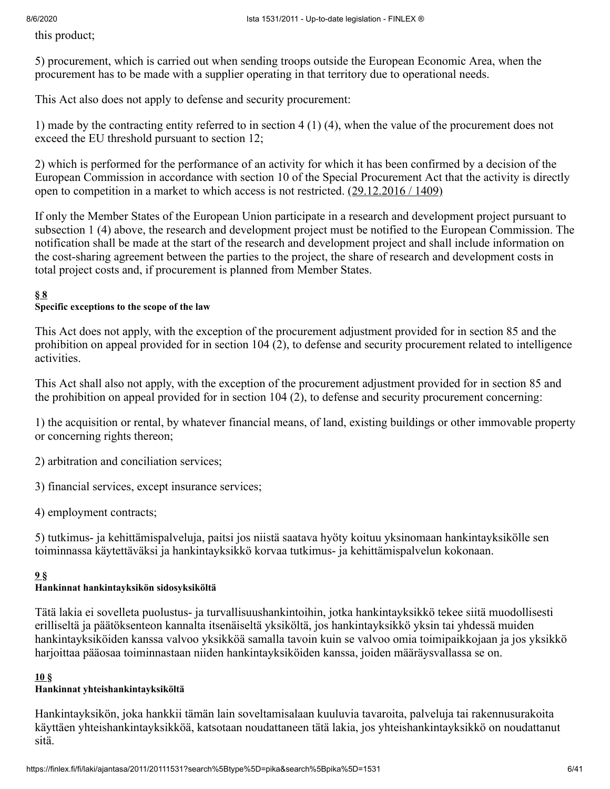this product;

5) procurement, which is carried out when sending troops outside the European Economic Area, when the procurement has to be made with a supplier operating in that territory due to operational needs.

This Act also does not apply to defense and security procurement:

1) made by the contracting entity referred to in section 4 (1) (4), when the value of the procurement does not exceed the EU threshold pursuant to section 12;

2) which is performed for the performance of an activity for which it has been confirmed by a decision of the European Commission in accordance with section 10 of the Special Procurement Act that the activity is directly open to competition in a market to which access is not restricted.  $(29.12.2016 / 1409)$ 

If only the Member States of the European Union participate in a research and development project pursuant to subsection 1 (4) above, the research and development project must be notified to the European Commission. The notification shall be made at the start of the research and development project and shall include information on the cost-sharing agreement between the parties to the project, the share of research and development costs in total project costs and, if procurement is planned from Member States.

#### **[§](#page-39-0) 8**

#### **Specific exceptions to the scope of the law**

This Act does not apply, with the exception of the procurement adjustment provided for in section 85 and the prohibition on appeal provided for in section 104 (2), to defense and security procurement related to intelligence activities.

This Act shall also not apply, with the exception of the procurement adjustment provided for in section 85 and the prohibition on appeal provided for in section 104 (2), to defense and security procurement concerning:

1) the acquisition or rental, by whatever financial means, of land, existing buildings or other immovable property or concerning rights thereon;

- 2) arbitration and conciliation services;
- 3) financial services, except insurance services;
- 4) employment contracts;

5) tutkimus- ja kehittämispalveluja, paitsi jos niistä saatava hyöty koituu yksinomaan hankintayksikölle sen toiminnassa käytettäväksi ja hankintayksikkö korvaa tutkimus- ja kehittämispalvelun kokonaan.

#### **[9](#page-39-0) §**

#### **Hankinnat hankintayksikön sidosyksiköltä**

Tätä lakia ei sovelleta puolustus- ja turvallisuushankintoihin, jotka hankintayksikkö tekee siitä muodollisesti erilliseltä ja päätöksenteon kannalta itsenäiseltä yksiköltä, jos hankintayksikkö yksin tai yhdessä muiden hankintayksiköiden kanssa valvoo yksikköä samalla tavoin kuin se valvoo omia toimipaikkojaan ja jos yksikkö harjoittaa pääosaa toiminnastaan niiden hankintayksiköiden kanssa, joiden määräysvallassa se on.

#### **[10](#page-39-0) §**

#### **Hankinnat yhteishankintayksiköltä**

Hankintayksikön, joka hankkii tämän lain soveltamisalaan kuuluvia tavaroita, palveluja tai rakennusurakoita käyttäen yhteishankintayksikköä, katsotaan noudattaneen tätä lakia, jos yhteishankintayksikkö on noudattanut sitä.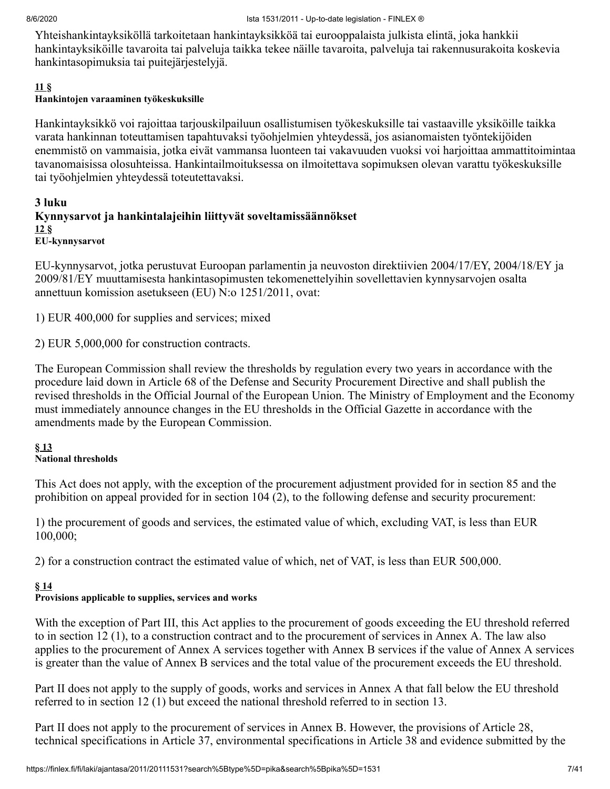Yhteishankintayksiköllä tarkoitetaan hankintayksikköä tai eurooppalaista julkista elintä, joka hankkii hankintayksiköille tavaroita tai palveluja taikka tekee näille tavaroita, palveluja tai rakennusurakoita koskevia hankintasopimuksia tai puitejärjestelyjä.

#### **[11](#page-39-0) §**

#### **Hankintojen varaaminen työkeskuksille**

Hankintayksikkö voi rajoittaa tarjouskilpailuun osallistumisen työkeskuksille tai vastaaville yksiköille taikka varata hankinnan toteuttamisen tapahtuvaksi työohjelmien yhteydessä, jos asianomaisten työntekijöiden enemmistö on vammaisia, jotka eivät vammansa luonteen tai vakavuuden vuoksi voi harjoittaa ammattitoimintaa tavanomaisissa olosuhteissa. Hankintailmoituksessa on ilmoitettava sopimuksen olevan varattu työkeskuksille tai työohjelmien yhteydessä toteutettavaksi.

#### **3 luku Kynnysarvot ja hankintalajeihin liittyvät soveltamissäännökset [12](#page-39-0) § EU-kynnysarvot**

EU-kynnysarvot, jotka perustuvat Euroopan parlamentin ja neuvoston direktiivien 2004/17/EY, 2004/18/EY ja 2009/81/EY muuttamisesta hankintasopimusten tekomenettelyihin sovellettavien kynnysarvojen osalta annettuun komission asetukseen (EU) N:o 1251/2011, ovat:

1) EUR 400,000 for supplies and services; mixed

2) EUR 5,000,000 for construction contracts.

The European Commission shall review the thresholds by regulation every two years in accordance with the procedure laid down in Article 68 of the Defense and Security Procurement Directive and shall publish the revised thresholds in the Official Journal of the European Union. The Ministry of Employment and the Economy must immediately announce changes in the EU thresholds in the Official Gazette in accordance with the amendments made by the European Commission.

### **§ [13](#page-39-0)**

#### **National thresholds**

This Act does not apply, with the exception of the procurement adjustment provided for in section 85 and the prohibition on appeal provided for in section 104 (2), to the following defense and security procurement:

1) the procurement of goods and services, the estimated value of which, excluding VAT, is less than EUR 100,000;

2) for a construction contract the estimated value of which, net of VAT, is less than EUR 500,000.

#### **§ [14](#page-39-0)**

#### **Provisions applicable to supplies, services and works**

With the exception of Part III, this Act applies to the procurement of goods exceeding the EU threshold referred to in section 12 (1), to a construction contract and to the procurement of services in Annex A. The law also applies to the procurement of Annex A services together with Annex B services if the value of Annex A services is greater than the value of Annex B services and the total value of the procurement exceeds the EU threshold.

Part II does not apply to the supply of goods, works and services in Annex A that fall below the EU threshold referred to in section 12 (1) but exceed the national threshold referred to in section 13.

Part II does not apply to the procurement of services in Annex B. However, the provisions of Article 28, technical specifications in Article 37, environmental specifications in Article 38 and evidence submitted by the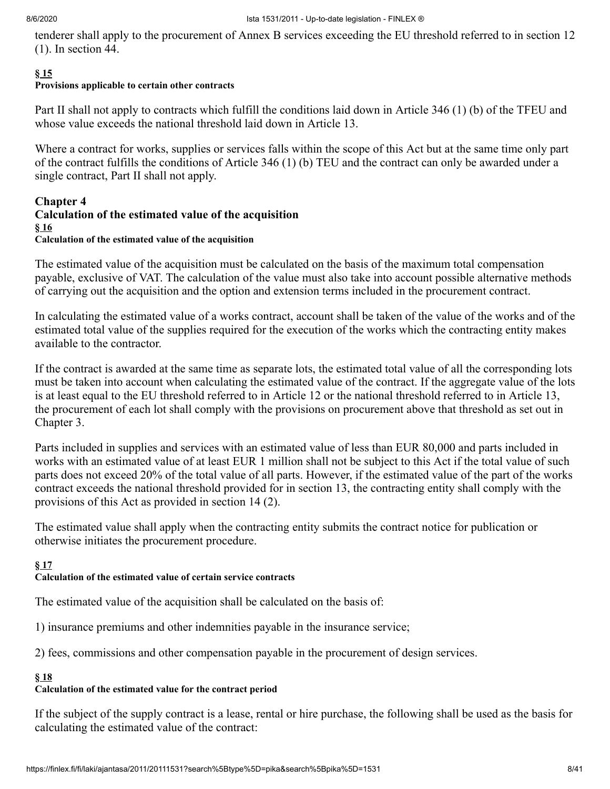tenderer shall apply to the procurement of Annex B services exceeding the EU threshold referred to in section 12 (1). In section 44.

#### **§ [15](#page-39-0)**

## **Provisions applicable to certain other contracts**

Part II shall not apply to contracts which fulfill the conditions laid down in Article 346 (1) (b) of the TFEU and whose value exceeds the national threshold laid down in Article 13.

Where a contract for works, supplies or services falls within the scope of this Act but at the same time only part of the contract fulfills the conditions of Article 346 (1) (b) TEU and the contract can only be awarded under a single contract, Part II shall not apply.

#### **Chapter 4 Calculation of the estimated value of the acquisition § [16](#page-39-0) Calculation of the estimated value of the acquisition**

The estimated value of the acquisition must be calculated on the basis of the maximum total compensation payable, exclusive of VAT. The calculation of the value must also take into account possible alternative methods of carrying out the acquisition and the option and extension terms included in the procurement contract.

In calculating the estimated value of a works contract, account shall be taken of the value of the works and of the estimated total value of the supplies required for the execution of the works which the contracting entity makes available to the contractor.

If the contract is awarded at the same time as separate lots, the estimated total value of all the corresponding lots must be taken into account when calculating the estimated value of the contract. If the aggregate value of the lots is at least equal to the EU threshold referred to in Article 12 or the national threshold referred to in Article 13, the procurement of each lot shall comply with the provisions on procurement above that threshold as set out in Chapter 3.

Parts included in supplies and services with an estimated value of less than EUR 80,000 and parts included in works with an estimated value of at least EUR 1 million shall not be subject to this Act if the total value of such parts does not exceed 20% of the total value of all parts. However, if the estimated value of the part of the works contract exceeds the national threshold provided for in section 13, the contracting entity shall comply with the provisions of this Act as provided in section 14 (2).

The estimated value shall apply when the contracting entity submits the contract notice for publication or otherwise initiates the procurement procedure.

#### **§ [17](#page-39-0)**

#### **Calculation of the estimated value of certain service contracts**

The estimated value of the acquisition shall be calculated on the basis of:

1) insurance premiums and other indemnities payable in the insurance service;

2) fees, commissions and other compensation payable in the procurement of design services.

#### **§ [18](#page-39-0)**

## **Calculation of the estimated value for the contract period**

If the subject of the supply contract is a lease, rental or hire purchase, the following shall be used as the basis for calculating the estimated value of the contract: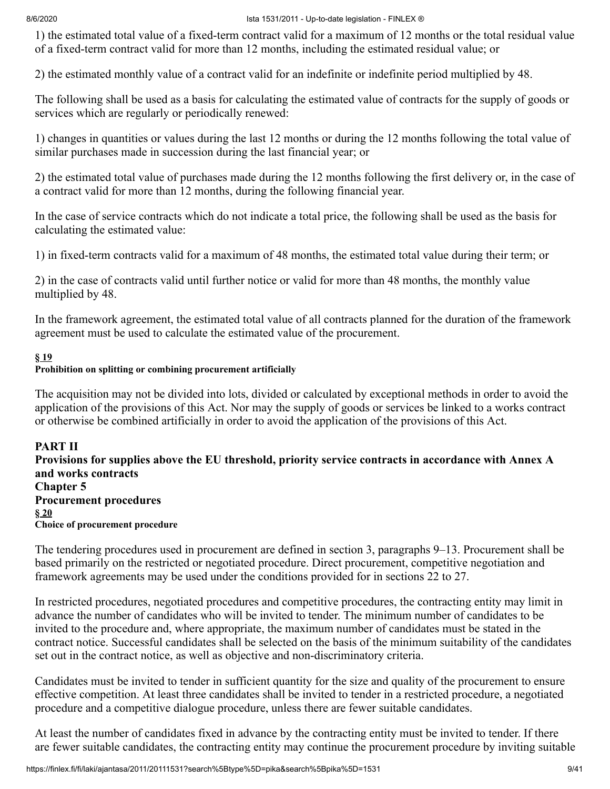1) the estimated total value of a fixed-term contract valid for a maximum of 12 months or the total residual value of a fixed-term contract valid for more than 12 months, including the estimated residual value; or

2) the estimated monthly value of a contract valid for an indefinite or indefinite period multiplied by 48.

The following shall be used as a basis for calculating the estimated value of contracts for the supply of goods or services which are regularly or periodically renewed:

1) changes in quantities or values during the last 12 months or during the 12 months following the total value of similar purchases made in succession during the last financial year; or

2) the estimated total value of purchases made during the 12 months following the first delivery or, in the case of a contract valid for more than 12 months, during the following financial year.

In the case of service contracts which do not indicate a total price, the following shall be used as the basis for calculating the estimated value:

1) in fixed-term contracts valid for a maximum of 48 months, the estimated total value during their term; or

2) in the case of contracts valid until further notice or valid for more than 48 months, the monthly value multiplied by 48.

In the framework agreement, the estimated total value of all contracts planned for the duration of the framework agreement must be used to calculate the estimated value of the procurement.

#### **§ [19](#page-39-0)**

#### **Prohibition on splitting or combining procurement artificially**

The acquisition may not be divided into lots, divided or calculated by exceptional methods in order to avoid the application of the provisions of this Act. Nor may the supply of goods or services be linked to a works contract or otherwise be combined artificially in order to avoid the application of the provisions of this Act.

**PART II Provisions for supplies above the EU threshold, priority service contracts in accordance with Annex A and works contracts Chapter 5 Procurement procedures § [20](#page-39-0) Choice of procurement procedure**

The tendering procedures used in procurement are defined in section 3, paragraphs 9–13. Procurement shall be based primarily on the restricted or negotiated procedure. Direct procurement, competitive negotiation and framework agreements may be used under the conditions provided for in sections 22 to 27.

In restricted procedures, negotiated procedures and competitive procedures, the contracting entity may limit in advance the number of candidates who will be invited to tender. The minimum number of candidates to be invited to the procedure and, where appropriate, the maximum number of candidates must be stated in the contract notice. Successful candidates shall be selected on the basis of the minimum suitability of the candidates set out in the contract notice, as well as objective and non-discriminatory criteria.

Candidates must be invited to tender in sufficient quantity for the size and quality of the procurement to ensure effective competition. At least three candidates shall be invited to tender in a restricted procedure, a negotiated procedure and a competitive dialogue procedure, unless there are fewer suitable candidates.

At least the number of candidates fixed in advance by the contracting entity must be invited to tender. If there are fewer suitable candidates, the contracting entity may continue the procurement procedure by inviting suitable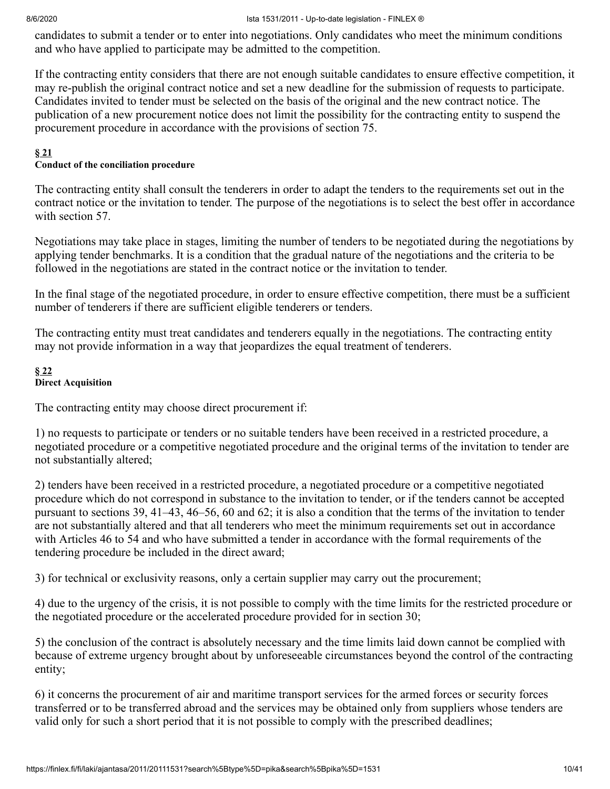candidates to submit a tender or to enter into negotiations. Only candidates who meet the minimum conditions and who have applied to participate may be admitted to the competition.

If the contracting entity considers that there are not enough suitable candidates to ensure effective competition, it may re-publish the original contract notice and set a new deadline for the submission of requests to participate. Candidates invited to tender must be selected on the basis of the original and the new contract notice. The publication of a new procurement notice does not limit the possibility for the contracting entity to suspend the procurement procedure in accordance with the provisions of section 75.

#### **§ [21](#page-39-0)**

#### **Conduct of the conciliation procedure**

The contracting entity shall consult the tenderers in order to adapt the tenders to the requirements set out in the contract notice or the invitation to tender. The purpose of the negotiations is to select the best offer in accordance with section 57.

Negotiations may take place in stages, limiting the number of tenders to be negotiated during the negotiations by applying tender benchmarks. It is a condition that the gradual nature of the negotiations and the criteria to be followed in the negotiations are stated in the contract notice or the invitation to tender.

In the final stage of the negotiated procedure, in order to ensure effective competition, there must be a sufficient number of tenderers if there are sufficient eligible tenderers or tenders.

The contracting entity must treat candidates and tenderers equally in the negotiations. The contracting entity may not provide information in a way that jeopardizes the equal treatment of tenderers.

#### **§ [22](#page-39-0) Direct Acquisition**

The contracting entity may choose direct procurement if:

1) no requests to participate or tenders or no suitable tenders have been received in a restricted procedure, a negotiated procedure or a competitive negotiated procedure and the original terms of the invitation to tender are not substantially altered;

2) tenders have been received in a restricted procedure, a negotiated procedure or a competitive negotiated procedure which do not correspond in substance to the invitation to tender, or if the tenders cannot be accepted pursuant to sections 39, 41–43, 46–56, 60 and 62; it is also a condition that the terms of the invitation to tender are not substantially altered and that all tenderers who meet the minimum requirements set out in accordance with Articles 46 to 54 and who have submitted a tender in accordance with the formal requirements of the tendering procedure be included in the direct award;

3) for technical or exclusivity reasons, only a certain supplier may carry out the procurement;

4) due to the urgency of the crisis, it is not possible to comply with the time limits for the restricted procedure or the negotiated procedure or the accelerated procedure provided for in section 30;

5) the conclusion of the contract is absolutely necessary and the time limits laid down cannot be complied with because of extreme urgency brought about by unforeseeable circumstances beyond the control of the contracting entity;

6) it concerns the procurement of air and maritime transport services for the armed forces or security forces transferred or to be transferred abroad and the services may be obtained only from suppliers whose tenders are valid only for such a short period that it is not possible to comply with the prescribed deadlines;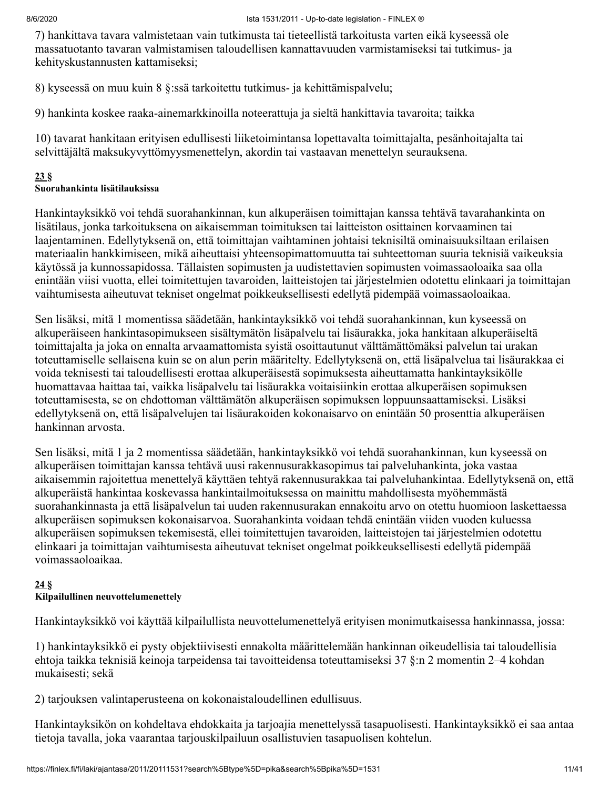7) hankittava tavara valmistetaan vain tutkimusta tai tieteellistä tarkoitusta varten eikä kyseessä ole massatuotanto tavaran valmistamisen taloudellisen kannattavuuden varmistamiseksi tai tutkimus- ja kehityskustannusten kattamiseksi;

8) kyseessä on muu kuin 8 §:ssä tarkoitettu tutkimus- ja kehittämispalvelu;

9) hankinta koskee raaka-ainemarkkinoilla noteerattuja ja sieltä hankittavia tavaroita; taikka

10) tavarat hankitaan erityisen edullisesti liiketoimintansa lopettavalta toimittajalta, pesänhoitajalta tai selvittäjältä maksukyvyttömyysmenettelyn, akordin tai vastaavan menettelyn seurauksena.

#### **[23](#page-39-0) §**

#### **Suorahankinta lisätilauksissa**

Hankintayksikkö voi tehdä suorahankinnan, kun alkuperäisen toimittajan kanssa tehtävä tavarahankinta on lisätilaus, jonka tarkoituksena on aikaisemman toimituksen tai laitteiston osittainen korvaaminen tai laajentaminen. Edellytyksenä on, että toimittajan vaihtaminen johtaisi teknisiltä ominaisuuksiltaan erilaisen materiaalin hankkimiseen, mikä aiheuttaisi yhteensopimattomuutta tai suhteettoman suuria teknisiä vaikeuksia käytössä ja kunnossapidossa. Tällaisten sopimusten ja uudistettavien sopimusten voimassaoloaika saa olla enintään viisi vuotta, ellei toimitettujen tavaroiden, laitteistojen tai järjestelmien odotettu elinkaari ja toimittajan vaihtumisesta aiheutuvat tekniset ongelmat poikkeuksellisesti edellytä pidempää voimassaoloaikaa.

Sen lisäksi, mitä 1 momentissa säädetään, hankintayksikkö voi tehdä suorahankinnan, kun kyseessä on alkuperäiseen hankintasopimukseen sisältymätön lisäpalvelu tai lisäurakka, joka hankitaan alkuperäiseltä toimittajalta ja joka on ennalta arvaamattomista syistä osoittautunut välttämättömäksi palvelun tai urakan toteuttamiselle sellaisena kuin se on alun perin määritelty. Edellytyksenä on, että lisäpalvelua tai lisäurakkaa ei voida teknisesti tai taloudellisesti erottaa alkuperäisestä sopimuksesta aiheuttamatta hankintayksikölle huomattavaa haittaa tai, vaikka lisäpalvelu tai lisäurakka voitaisiinkin erottaa alkuperäisen sopimuksen toteuttamisesta, se on ehdottoman välttämätön alkuperäisen sopimuksen loppuunsaattamiseksi. Lisäksi edellytyksenä on, että lisäpalvelujen tai lisäurakoiden kokonaisarvo on enintään 50 prosenttia alkuperäisen hankinnan arvosta.

Sen lisäksi, mitä 1 ja 2 momentissa säädetään, hankintayksikkö voi tehdä suorahankinnan, kun kyseessä on alkuperäisen toimittajan kanssa tehtävä uusi rakennusurakkasopimus tai palveluhankinta, joka vastaa aikaisemmin rajoitettua menettelyä käyttäen tehtyä rakennusurakkaa tai palveluhankintaa. Edellytyksenä on, että alkuperäistä hankintaa koskevassa hankintailmoituksessa on mainittu mahdollisesta myöhemmästä suorahankinnasta ja että lisäpalvelun tai uuden rakennusurakan ennakoitu arvo on otettu huomioon laskettaessa alkuperäisen sopimuksen kokonaisarvoa. Suorahankinta voidaan tehdä enintään viiden vuoden kuluessa alkuperäisen sopimuksen tekemisestä, ellei toimitettujen tavaroiden, laitteistojen tai järjestelmien odotettu elinkaari ja toimittajan vaihtumisesta aiheutuvat tekniset ongelmat poikkeuksellisesti edellytä pidempää voimassaoloaikaa.

### **[24](#page-39-0) §**

#### **Kilpailullinen neuvottelumenettely**

Hankintayksikkö voi käyttää kilpailullista neuvottelumenettelyä erityisen monimutkaisessa hankinnassa, jossa:

1) hankintayksikkö ei pysty objektiivisesti ennakolta määrittelemään hankinnan oikeudellisia tai taloudellisia ehtoja taikka teknisiä keinoja tarpeidensa tai tavoitteidensa toteuttamiseksi 37 §:n 2 momentin 2–4 kohdan mukaisesti; sekä

2) tarjouksen valintaperusteena on kokonaistaloudellinen edullisuus.

Hankintayksikön on kohdeltava ehdokkaita ja tarjoajia menettelyssä tasapuolisesti. Hankintayksikkö ei saa antaa tietoja tavalla, joka vaarantaa tarjouskilpailuun osallistuvien tasapuolisen kohtelun.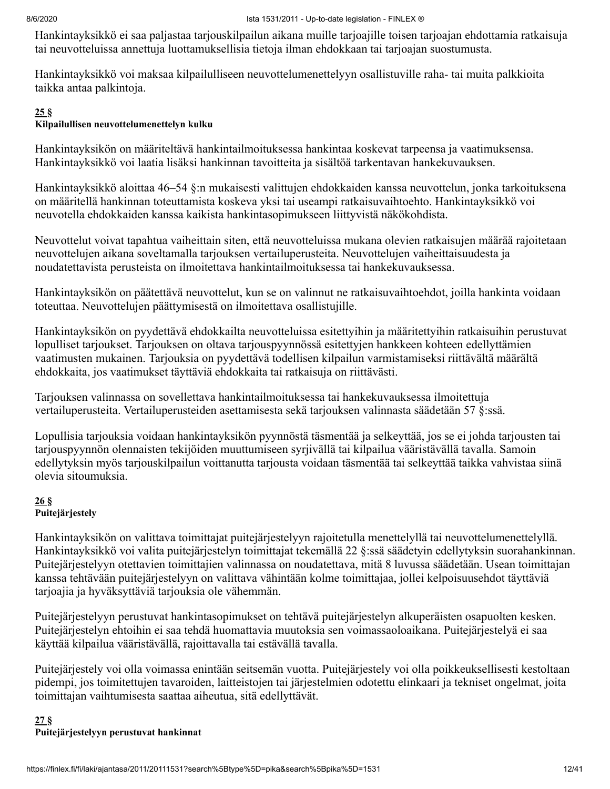Hankintayksikkö ei saa paljastaa tarjouskilpailun aikana muille tarjoajille toisen tarjoajan ehdottamia ratkaisuja tai neuvotteluissa annettuja luottamuksellisia tietoja ilman ehdokkaan tai tarjoajan suostumusta.

Hankintayksikkö voi maksaa kilpailulliseen neuvottelumenettelyyn osallistuville raha- tai muita palkkioita taikka antaa palkintoja.

#### **[25](#page-39-0) §**

#### **Kilpailullisen neuvottelumenettelyn kulku**

Hankintayksikön on määriteltävä hankintailmoituksessa hankintaa koskevat tarpeensa ja vaatimuksensa. Hankintayksikkö voi laatia lisäksi hankinnan tavoitteita ja sisältöä tarkentavan hankekuvauksen.

Hankintayksikkö aloittaa 46–54 §:n mukaisesti valittujen ehdokkaiden kanssa neuvottelun, jonka tarkoituksena on määritellä hankinnan toteuttamista koskeva yksi tai useampi ratkaisuvaihtoehto. Hankintayksikkö voi neuvotella ehdokkaiden kanssa kaikista hankintasopimukseen liittyvistä näkökohdista.

Neuvottelut voivat tapahtua vaiheittain siten, että neuvotteluissa mukana olevien ratkaisujen määrää rajoitetaan neuvottelujen aikana soveltamalla tarjouksen vertailuperusteita. Neuvottelujen vaiheittaisuudesta ja noudatettavista perusteista on ilmoitettava hankintailmoituksessa tai hankekuvauksessa.

Hankintayksikön on päätettävä neuvottelut, kun se on valinnut ne ratkaisuvaihtoehdot, joilla hankinta voidaan toteuttaa. Neuvottelujen päättymisestä on ilmoitettava osallistujille.

Hankintayksikön on pyydettävä ehdokkailta neuvotteluissa esitettyihin ja määritettyihin ratkaisuihin perustuvat lopulliset tarjoukset. Tarjouksen on oltava tarjouspyynnössä esitettyjen hankkeen kohteen edellyttämien vaatimusten mukainen. Tarjouksia on pyydettävä todellisen kilpailun varmistamiseksi riittävältä määrältä ehdokkaita, jos vaatimukset täyttäviä ehdokkaita tai ratkaisuja on riittävästi.

Tarjouksen valinnassa on sovellettava hankintailmoituksessa tai hankekuvauksessa ilmoitettuja vertailuperusteita. Vertailuperusteiden asettamisesta sekä tarjouksen valinnasta säädetään 57 §:ssä.

Lopullisia tarjouksia voidaan hankintayksikön pyynnöstä täsmentää ja selkeyttää, jos se ei johda tarjousten tai tarjouspyynnön olennaisten tekijöiden muuttumiseen syrjivällä tai kilpailua vääristävällä tavalla. Samoin edellytyksin myös tarjouskilpailun voittanutta tarjousta voidaan täsmentää tai selkeyttää taikka vahvistaa siinä olevia sitoumuksia.

#### **[26](#page-39-0) § Puitejärjestely**

Hankintayksikön on valittava toimittajat puitejärjestelyyn rajoitetulla menettelyllä tai neuvottelumenettelyllä. Hankintayksikkö voi valita puitejärjestelyn toimittajat tekemällä 22 §:ssä säädetyin edellytyksin suorahankinnan. Puitejärjestelyyn otettavien toimittajien valinnassa on noudatettava, mitä 8 luvussa säädetään. Usean toimittajan kanssa tehtävään puitejärjestelyyn on valittava vähintään kolme toimittajaa, jollei kelpoisuusehdot täyttäviä tarjoajia ja hyväksyttäviä tarjouksia ole vähemmän.

Puitejärjestelyyn perustuvat hankintasopimukset on tehtävä puitejärjestelyn alkuperäisten osapuolten kesken. Puitejärjestelyn ehtoihin ei saa tehdä huomattavia muutoksia sen voimassaoloaikana. Puitejärjestelyä ei saa käyttää kilpailua vääristävällä, rajoittavalla tai estävällä tavalla.

Puitejärjestely voi olla voimassa enintään seitsemän vuotta. Puitejärjestely voi olla poikkeuksellisesti kestoltaan pidempi, jos toimitettujen tavaroiden, laitteistojen tai järjestelmien odotettu elinkaari ja tekniset ongelmat, joita toimittajan vaihtumisesta saattaa aiheutua, sitä edellyttävät.

#### **[27](#page-39-0) § Puitejärjestelyyn perustuvat hankinnat**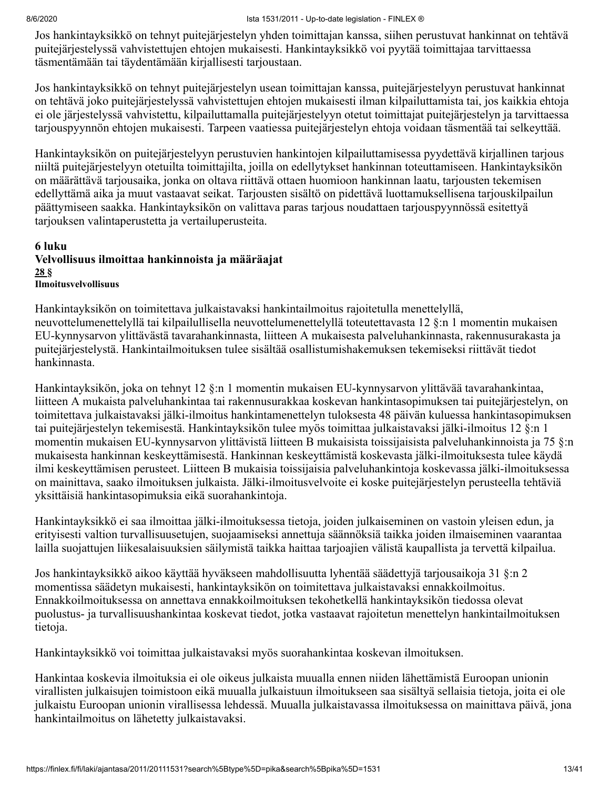Jos hankintayksikkö on tehnyt puitejärjestelyn yhden toimittajan kanssa, siihen perustuvat hankinnat on tehtävä puitejärjestelyssä vahvistettujen ehtojen mukaisesti. Hankintayksikkö voi pyytää toimittajaa tarvittaessa täsmentämään tai täydentämään kirjallisesti tarjoustaan.

Jos hankintayksikkö on tehnyt puitejärjestelyn usean toimittajan kanssa, puitejärjestelyyn perustuvat hankinnat on tehtävä joko puitejärjestelyssä vahvistettujen ehtojen mukaisesti ilman kilpailuttamista tai, jos kaikkia ehtoja ei ole järjestelyssä vahvistettu, kilpailuttamalla puitejärjestelyyn otetut toimittajat puitejärjestelyn ja tarvittaessa tarjouspyynnön ehtojen mukaisesti. Tarpeen vaatiessa puitejärjestelyn ehtoja voidaan täsmentää tai selkeyttää.

Hankintayksikön on puitejärjestelyyn perustuvien hankintojen kilpailuttamisessa pyydettävä kirjallinen tarjous niiltä puitejärjestelyyn otetuilta toimittajilta, joilla on edellytykset hankinnan toteuttamiseen. Hankintayksikön on määrättävä tarjousaika, jonka on oltava riittävä ottaen huomioon hankinnan laatu, tarjousten tekemisen edellyttämä aika ja muut vastaavat seikat. Tarjousten sisältö on pidettävä luottamuksellisena tarjouskilpailun päättymiseen saakka. Hankintayksikön on valittava paras tarjous noudattaen tarjouspyynnössä esitettyä tarjouksen valintaperustetta ja vertailuperusteita.

#### **6 luku Velvollisuus ilmoittaa hankinnoista ja määräajat [28](#page-39-0) § Ilmoitusvelvollisuus**

Hankintayksikön on toimitettava julkaistavaksi hankintailmoitus rajoitetulla menettelyllä, neuvottelumenettelyllä tai kilpailullisella neuvottelumenettelyllä toteutettavasta 12 §:n 1 momentin mukaisen EU-kynnysarvon ylittävästä tavarahankinnasta, liitteen A mukaisesta palveluhankinnasta, rakennusurakasta ja puitejärjestelystä. Hankintailmoituksen tulee sisältää osallistumishakemuksen tekemiseksi riittävät tiedot hankinnasta.

Hankintayksikön, joka on tehnyt 12 §:n 1 momentin mukaisen EU-kynnysarvon ylittävää tavarahankintaa, liitteen A mukaista palveluhankintaa tai rakennusurakkaa koskevan hankintasopimuksen tai puitejärjestelyn, on toimitettava julkaistavaksi jälki-ilmoitus hankintamenettelyn tuloksesta 48 päivän kuluessa hankintasopimuksen tai puitejärjestelyn tekemisestä. Hankintayksikön tulee myös toimittaa julkaistavaksi jälki-ilmoitus 12 §:n 1 momentin mukaisen EU-kynnysarvon ylittävistä liitteen B mukaisista toissijaisista palveluhankinnoista ja 75 §:n mukaisesta hankinnan keskeyttämisestä. Hankinnan keskeyttämistä koskevasta jälki-ilmoituksesta tulee käydä ilmi keskeyttämisen perusteet. Liitteen B mukaisia toissijaisia palveluhankintoja koskevassa jälki-ilmoituksessa on mainittava, saako ilmoituksen julkaista. Jälki-ilmoitusvelvoite ei koske puitejärjestelyn perusteella tehtäviä yksittäisiä hankintasopimuksia eikä suorahankintoja.

Hankintayksikkö ei saa ilmoittaa jälki-ilmoituksessa tietoja, joiden julkaiseminen on vastoin yleisen edun, ja erityisesti valtion turvallisuusetujen, suojaamiseksi annettuja säännöksiä taikka joiden ilmaiseminen vaarantaa lailla suojattujen liikesalaisuuksien säilymistä taikka haittaa tarjoajien välistä kaupallista ja tervettä kilpailua.

Jos hankintayksikkö aikoo käyttää hyväkseen mahdollisuutta lyhentää säädettyjä tarjousaikoja 31 §:n 2 momentissa säädetyn mukaisesti, hankintayksikön on toimitettava julkaistavaksi ennakkoilmoitus. Ennakkoilmoituksessa on annettava ennakkoilmoituksen tekohetkellä hankintayksikön tiedossa olevat puolustus- ja turvallisuushankintaa koskevat tiedot, jotka vastaavat rajoitetun menettelyn hankintailmoituksen tietoja.

Hankintayksikkö voi toimittaa julkaistavaksi myös suorahankintaa koskevan ilmoituksen.

Hankintaa koskevia ilmoituksia ei ole oikeus julkaista muualla ennen niiden lähettämistä Euroopan unionin virallisten julkaisujen toimistoon eikä muualla julkaistuun ilmoitukseen saa sisältyä sellaisia tietoja, joita ei ole julkaistu Euroopan unionin virallisessa lehdessä. Muualla julkaistavassa ilmoituksessa on mainittava päivä, jona hankintailmoitus on lähetetty julkaistavaksi.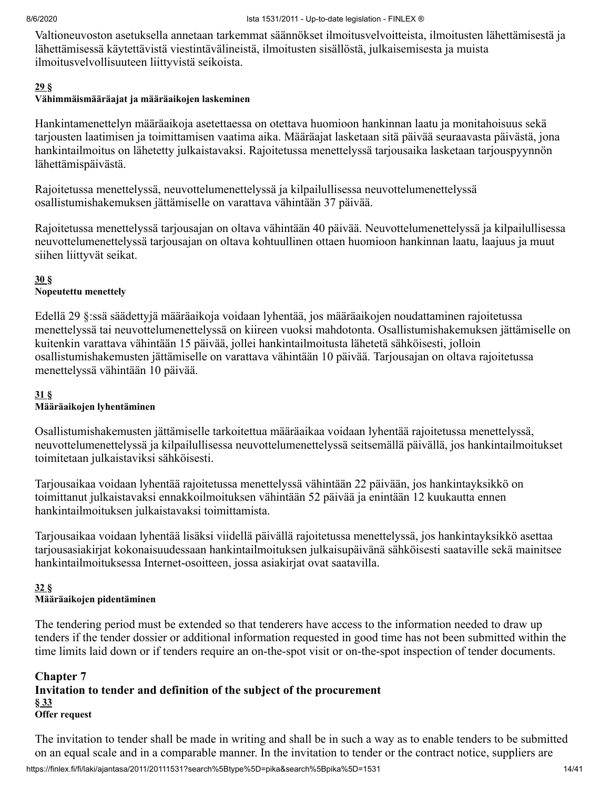Valtioneuvoston asetuksella annetaan tarkemmat säännökset ilmoitusvelvoitteista, ilmoitusten lähettämisestä ja lähettämisessä käytettävistä viestintävälineistä, ilmoitusten sisällöstä, julkaisemisesta ja muista ilmoitusvelvollisuuteen liittyvistä seikoista.

#### **[29](#page-39-0) §**

#### **Vähimmäismääräajat ja määräaikojen laskeminen**

Hankintamenettelyn määräaikoja asetettaessa on otettava huomioon hankinnan laatu ja monitahoisuus sekä tarjousten laatimisen ja toimittamisen vaatima aika. Määräajat lasketaan sitä päivää seuraavasta päivästä, jona hankintailmoitus on lähetetty julkaistavaksi. Rajoitetussa menettelyssä tarjousaika lasketaan tarjouspyynnön lähettämispäivästä.

Rajoitetussa menettelyssä, neuvottelumenettelyssä ja kilpailullisessa neuvottelumenettelyssä osallistumishakemuksen jättämiselle on varattava vähintään 37 päivää.

Rajoitetussa menettelyssä tarjousajan on oltava vähintään 40 päivää. Neuvottelumenettelyssä ja kilpailullisessa neuvottelumenettelyssä tarjousajan on oltava kohtuullinen ottaen huomioon hankinnan laatu, laajuus ja muut siihen liittyvät seikat.

#### **[30](#page-39-0) §**

#### **Nopeutettu menettely**

Edellä 29 §:ssä säädettyjä määräaikoja voidaan lyhentää, jos määräaikojen noudattaminen rajoitetussa menettelyssä tai neuvottelumenettelyssä on kiireen vuoksi mahdotonta. Osallistumishakemuksen jättämiselle on kuitenkin varattava vähintään 15 päivää, jollei hankintailmoitusta lähetetä sähköisesti, jolloin osallistumishakemusten jättämiselle on varattava vähintään 10 päivää. Tarjousajan on oltava rajoitetussa menettelyssä vähintään 10 päivää.

#### **[31](#page-39-0) §**

#### **Määräaikojen lyhentäminen**

Osallistumishakemusten jättämiselle tarkoitettua määräaikaa voidaan lyhentää rajoitetussa menettelyssä, neuvottelumenettelyssä ja kilpailullisessa neuvottelumenettelyssä seitsemällä päivällä, jos hankintailmoitukset toimitetaan julkaistaviksi sähköisesti.

Tarjousaikaa voidaan lyhentää rajoitetussa menettelyssä vähintään 22 päivään, jos hankintayksikkö on toimittanut julkaistavaksi ennakkoilmoituksen vähintään 52 päivää ja enintään 12 kuukautta ennen hankintailmoituksen julkaistavaksi toimittamista.

Tarjousaikaa voidaan lyhentää lisäksi viidellä päivällä rajoitetussa menettelyssä, jos hankintayksikkö asettaa tarjousasiakirjat kokonaisuudessaan hankintailmoituksen julkaisupäivänä sähköisesti saataville sekä mainitsee hankintailmoituksessa Internet-osoitteen, jossa asiakirjat ovat saatavilla.

#### **[32](#page-39-0) § Määräaikojen pidentäminen**

The tendering period must be extended so that tenderers have access to the information needed to draw up tenders if the tender dossier or additional information requested in good time has not been submitted within the time limits laid down or if tenders require an on-the-spot visit or on-the-spot inspection of tender documents.

#### **Chapter 7 Invitation to tender and definition of the subject of the procurement § [33](#page-39-0) Offer request**

The invitation to tender shall be made in writing and shall be in such a way as to enable tenders to be submitted on an equal scale and in a comparable manner. In the invitation to tender or the contract notice, suppliers are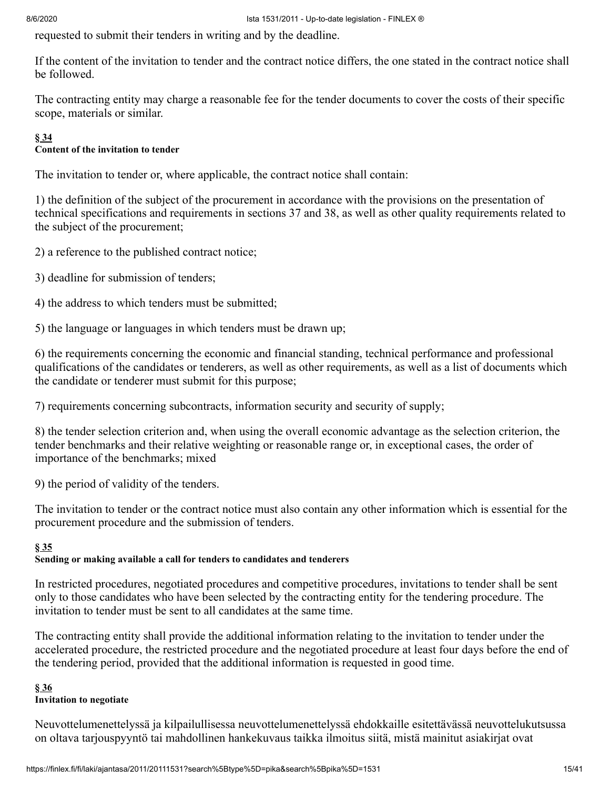requested to submit their tenders in writing and by the deadline.

If the content of the invitation to tender and the contract notice differs, the one stated in the contract notice shall be followed.

The contracting entity may charge a reasonable fee for the tender documents to cover the costs of their specific scope, materials or similar.

## **§ [34](#page-39-0)**

#### **Content of the invitation to tender**

The invitation to tender or, where applicable, the contract notice shall contain:

1) the definition of the subject of the procurement in accordance with the provisions on the presentation of technical specifications and requirements in sections 37 and 38, as well as other quality requirements related to the subject of the procurement;

- 2) a reference to the published contract notice;
- 3) deadline for submission of tenders;
- 4) the address to which tenders must be submitted;

5) the language or languages in which tenders must be drawn up;

6) the requirements concerning the economic and financial standing, technical performance and professional qualifications of the candidates or tenderers, as well as other requirements, as well as a list of documents which the candidate or tenderer must submit for this purpose;

7) requirements concerning subcontracts, information security and security of supply;

8) the tender selection criterion and, when using the overall economic advantage as the selection criterion, the tender benchmarks and their relative weighting or reasonable range or, in exceptional cases, the order of importance of the benchmarks; mixed

9) the period of validity of the tenders.

The invitation to tender or the contract notice must also contain any other information which is essential for the procurement procedure and the submission of tenders.

#### **§ [35](#page-39-0)**

#### **Sending or making available a call for tenders to candidates and tenderers**

In restricted procedures, negotiated procedures and competitive procedures, invitations to tender shall be sent only to those candidates who have been selected by the contracting entity for the tendering procedure. The invitation to tender must be sent to all candidates at the same time.

The contracting entity shall provide the additional information relating to the invitation to tender under the accelerated procedure, the restricted procedure and the negotiated procedure at least four days before the end of the tendering period, provided that the additional information is requested in good time.

#### **§ [36](#page-39-0)**

#### **Invitation to negotiate**

Neuvottelumenettelyssä ja kilpailullisessa neuvottelumenettelyssä ehdokkaille esitettävässä neuvottelukutsussa on oltava tarjouspyyntö tai mahdollinen hankekuvaus taikka ilmoitus siitä, mistä mainitut asiakirjat ovat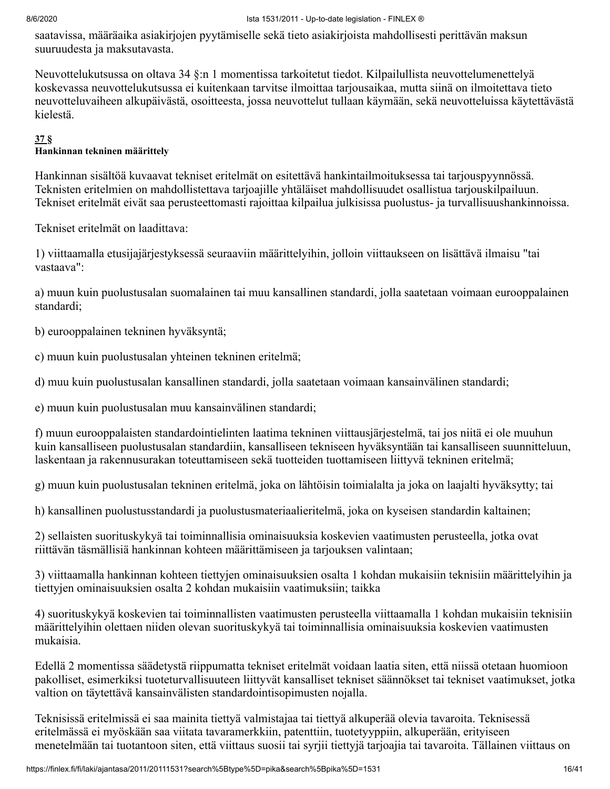saatavissa, määräaika asiakirjojen pyytämiselle sekä tieto asiakirjoista mahdollisesti perittävän maksun suuruudesta ja maksutavasta.

Neuvottelukutsussa on oltava 34 §:n 1 momentissa tarkoitetut tiedot. Kilpailullista neuvottelumenettelyä koskevassa neuvottelukutsussa ei kuitenkaan tarvitse ilmoittaa tarjousaikaa, mutta siinä on ilmoitettava tieto neuvotteluvaiheen alkupäivästä, osoitteesta, jossa neuvottelut tullaan käymään, sekä neuvotteluissa käytettävästä kielestä.

#### **[37](#page-39-0) §**

#### **Hankinnan tekninen määrittely**

Hankinnan sisältöä kuvaavat tekniset eritelmät on esitettävä hankintailmoituksessa tai tarjouspyynnössä. Teknisten eritelmien on mahdollistettava tarjoajille yhtäläiset mahdollisuudet osallistua tarjouskilpailuun. Tekniset eritelmät eivät saa perusteettomasti rajoittaa kilpailua julkisissa puolustus- ja turvallisuushankinnoissa.

Tekniset eritelmät on laadittava:

1) viittaamalla etusijajärjestyksessä seuraaviin määrittelyihin, jolloin viittaukseen on lisättävä ilmaisu "tai vastaava":

a) muun kuin puolustusalan suomalainen tai muu kansallinen standardi, jolla saatetaan voimaan eurooppalainen standardi;

b) eurooppalainen tekninen hyväksyntä;

c) muun kuin puolustusalan yhteinen tekninen eritelmä;

d) muu kuin puolustusalan kansallinen standardi, jolla saatetaan voimaan kansainvälinen standardi;

e) muun kuin puolustusalan muu kansainvälinen standardi;

f) muun eurooppalaisten standardointielinten laatima tekninen viittausjärjestelmä, tai jos niitä ei ole muuhun kuin kansalliseen puolustusalan standardiin, kansalliseen tekniseen hyväksyntään tai kansalliseen suunnitteluun, laskentaan ja rakennusurakan toteuttamiseen sekä tuotteiden tuottamiseen liittyvä tekninen eritelmä;

g) muun kuin puolustusalan tekninen eritelmä, joka on lähtöisin toimialalta ja joka on laajalti hyväksytty; tai

h) kansallinen puolustusstandardi ja puolustusmateriaalieritelmä, joka on kyseisen standardin kaltainen;

2) sellaisten suorituskykyä tai toiminnallisia ominaisuuksia koskevien vaatimusten perusteella, jotka ovat riittävän täsmällisiä hankinnan kohteen määrittämiseen ja tarjouksen valintaan;

3) viittaamalla hankinnan kohteen tiettyjen ominaisuuksien osalta 1 kohdan mukaisiin teknisiin määrittelyihin ja tiettyjen ominaisuuksien osalta 2 kohdan mukaisiin vaatimuksiin; taikka

4) suorituskykyä koskevien tai toiminnallisten vaatimusten perusteella viittaamalla 1 kohdan mukaisiin teknisiin määrittelyihin olettaen niiden olevan suorituskykyä tai toiminnallisia ominaisuuksia koskevien vaatimusten mukaisia.

Edellä 2 momentissa säädetystä riippumatta tekniset eritelmät voidaan laatia siten, että niissä otetaan huomioon pakolliset, esimerkiksi tuoteturvallisuuteen liittyvät kansalliset tekniset säännökset tai tekniset vaatimukset, jotka valtion on täytettävä kansainvälisten standardointisopimusten nojalla.

Teknisissä eritelmissä ei saa mainita tiettyä valmistajaa tai tiettyä alkuperää olevia tavaroita. Teknisessä eritelmässä ei myöskään saa viitata tavaramerkkiin, patenttiin, tuotetyyppiin, alkuperään, erityiseen menetelmään tai tuotantoon siten, että viittaus suosii tai syrjii tiettyjä tarjoajia tai tavaroita. Tällainen viittaus on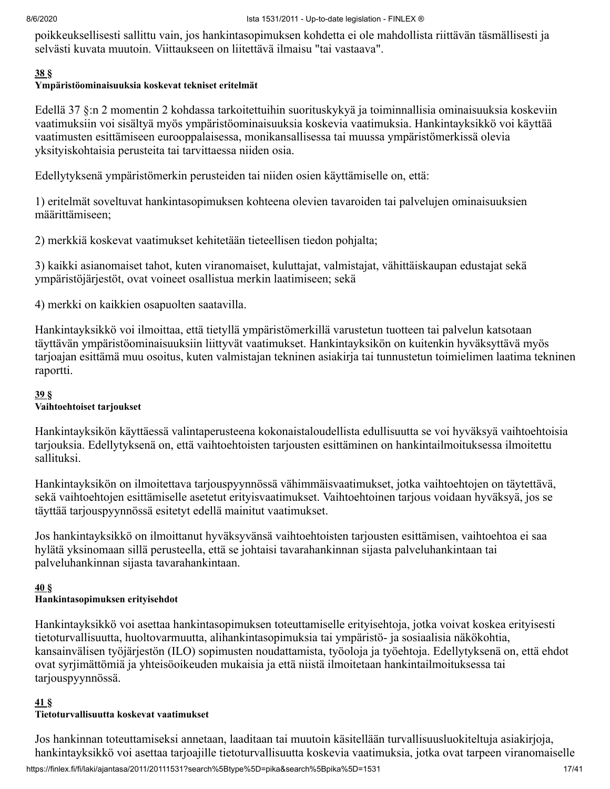poikkeuksellisesti sallittu vain, jos hankintasopimuksen kohdetta ei ole mahdollista riittävän täsmällisesti ja selvästi kuvata muutoin. Viittaukseen on liitettävä ilmaisu "tai vastaava".

#### **[38](#page-39-0) §**

## **Ympäristöominaisuuksia koskevat tekniset eritelmät**

Edellä 37 §:n 2 momentin 2 kohdassa tarkoitettuihin suorituskykyä ja toiminnallisia ominaisuuksia koskeviin vaatimuksiin voi sisältyä myös ympäristöominaisuuksia koskevia vaatimuksia. Hankintayksikkö voi käyttää vaatimusten esittämiseen eurooppalaisessa, monikansallisessa tai muussa ympäristömerkissä olevia yksityiskohtaisia perusteita tai tarvittaessa niiden osia.

Edellytyksenä ympäristömerkin perusteiden tai niiden osien käyttämiselle on, että:

1) eritelmät soveltuvat hankintasopimuksen kohteena olevien tavaroiden tai palvelujen ominaisuuksien määrittämiseen;

2) merkkiä koskevat vaatimukset kehitetään tieteellisen tiedon pohjalta;

3) kaikki asianomaiset tahot, kuten viranomaiset, kuluttajat, valmistajat, vähittäiskaupan edustajat sekä ympäristöjärjestöt, ovat voineet osallistua merkin laatimiseen; sekä

4) merkki on kaikkien osapuolten saatavilla.

Hankintayksikkö voi ilmoittaa, että tietyllä ympäristömerkillä varustetun tuotteen tai palvelun katsotaan täyttävän ympäristöominaisuuksiin liittyvät vaatimukset. Hankintayksikön on kuitenkin hyväksyttävä myös tarjoajan esittämä muu osoitus, kuten valmistajan tekninen asiakirja tai tunnustetun toimielimen laatima tekninen raportti.

#### **[39](#page-39-0) §**

### **Vaihtoehtoiset tarjoukset**

Hankintayksikön käyttäessä valintaperusteena kokonaistaloudellista edullisuutta se voi hyväksyä vaihtoehtoisia tarjouksia. Edellytyksenä on, että vaihtoehtoisten tarjousten esittäminen on hankintailmoituksessa ilmoitettu sallituksi.

Hankintayksikön on ilmoitettava tarjouspyynnössä vähimmäisvaatimukset, jotka vaihtoehtojen on täytettävä, sekä vaihtoehtojen esittämiselle asetetut erityisvaatimukset. Vaihtoehtoinen tarjous voidaan hyväksyä, jos se täyttää tarjouspyynnössä esitetyt edellä mainitut vaatimukset.

Jos hankintayksikkö on ilmoittanut hyväksyvänsä vaihtoehtoisten tarjousten esittämisen, vaihtoehtoa ei saa hylätä yksinomaan sillä perusteella, että se johtaisi tavarahankinnan sijasta palveluhankintaan tai palveluhankinnan sijasta tavarahankintaan.

#### **[40](#page-39-0) § Hankintasopimuksen erityisehdot**

Hankintayksikkö voi asettaa hankintasopimuksen toteuttamiselle erityisehtoja, jotka voivat koskea erityisesti tietoturvallisuutta, huoltovarmuutta, alihankintasopimuksia tai ympäristö- ja sosiaalisia näkökohtia, kansainvälisen työjärjestön (ILO) sopimusten noudattamista, työoloja ja työehtoja. Edellytyksenä on, että ehdot ovat syrjimättömiä ja yhteisöoikeuden mukaisia ja että niistä ilmoitetaan hankintailmoituksessa tai tarjouspyynnössä.

### **[41](#page-39-0) §**

### **Tietoturvallisuutta koskevat vaatimukset**

Jos hankinnan toteuttamiseksi annetaan, laaditaan tai muutoin käsitellään turvallisuusluokiteltuja asiakirjoja, hankintayksikkö voi asettaa tarjoajille tietoturvallisuutta koskevia vaatimuksia, jotka ovat tarpeen viranomaiselle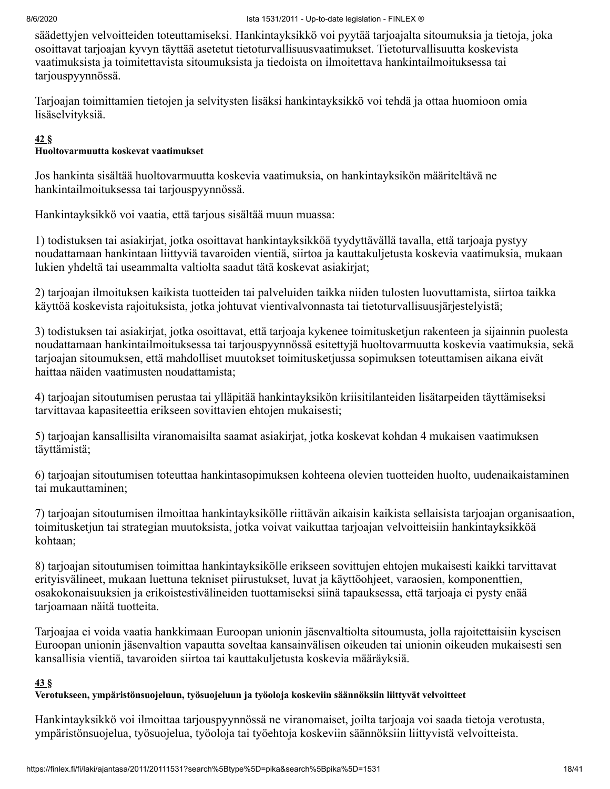säädettyjen velvoitteiden toteuttamiseksi. Hankintayksikkö voi pyytää tarjoajalta sitoumuksia ja tietoja, joka osoittavat tarjoajan kyvyn täyttää asetetut tietoturvallisuusvaatimukset. Tietoturvallisuutta koskevista vaatimuksista ja toimitettavista sitoumuksista ja tiedoista on ilmoitettava hankintailmoituksessa tai tarjouspyynnössä.

Tarjoajan toimittamien tietojen ja selvitysten lisäksi hankintayksikkö voi tehdä ja ottaa huomioon omia lisäselvityksiä.

#### **[42](#page-39-0) §**

#### **Huoltovarmuutta koskevat vaatimukset**

Jos hankinta sisältää huoltovarmuutta koskevia vaatimuksia, on hankintayksikön määriteltävä ne hankintailmoituksessa tai tarjouspyynnössä.

Hankintayksikkö voi vaatia, että tarjous sisältää muun muassa:

1) todistuksen tai asiakirjat, jotka osoittavat hankintayksikköä tyydyttävällä tavalla, että tarjoaja pystyy noudattamaan hankintaan liittyviä tavaroiden vientiä, siirtoa ja kauttakuljetusta koskevia vaatimuksia, mukaan lukien yhdeltä tai useammalta valtiolta saadut tätä koskevat asiakirjat;

2) tarjoajan ilmoituksen kaikista tuotteiden tai palveluiden taikka niiden tulosten luovuttamista, siirtoa taikka käyttöä koskevista rajoituksista, jotka johtuvat vientivalvonnasta tai tietoturvallisuusjärjestelyistä;

3) todistuksen tai asiakirjat, jotka osoittavat, että tarjoaja kykenee toimitusketjun rakenteen ja sijainnin puolesta noudattamaan hankintailmoituksessa tai tarjouspyynnössä esitettyjä huoltovarmuutta koskevia vaatimuksia, sekä tarjoajan sitoumuksen, että mahdolliset muutokset toimitusketjussa sopimuksen toteuttamisen aikana eivät haittaa näiden vaatimusten noudattamista;

4) tarjoajan sitoutumisen perustaa tai ylläpitää hankintayksikön kriisitilanteiden lisätarpeiden täyttämiseksi tarvittavaa kapasiteettia erikseen sovittavien ehtojen mukaisesti;

5) tarjoajan kansallisilta viranomaisilta saamat asiakirjat, jotka koskevat kohdan 4 mukaisen vaatimuksen täyttämistä;

6) tarjoajan sitoutumisen toteuttaa hankintasopimuksen kohteena olevien tuotteiden huolto, uudenaikaistaminen tai mukauttaminen;

7) tarjoajan sitoutumisen ilmoittaa hankintayksikölle riittävän aikaisin kaikista sellaisista tarjoajan organisaation, toimitusketjun tai strategian muutoksista, jotka voivat vaikuttaa tarjoajan velvoitteisiin hankintayksikköä kohtaan;

8) tarjoajan sitoutumisen toimittaa hankintayksikölle erikseen sovittujen ehtojen mukaisesti kaikki tarvittavat erityisvälineet, mukaan luettuna tekniset piirustukset, luvat ja käyttöohjeet, varaosien, komponenttien, osakokonaisuuksien ja erikoistestivälineiden tuottamiseksi siinä tapauksessa, että tarjoaja ei pysty enää tarjoamaan näitä tuotteita.

Tarjoajaa ei voida vaatia hankkimaan Euroopan unionin jäsenvaltiolta sitoumusta, jolla rajoitettaisiin kyseisen Euroopan unionin jäsenvaltion vapautta soveltaa kansainvälisen oikeuden tai unionin oikeuden mukaisesti sen kansallisia vientiä, tavaroiden siirtoa tai kauttakuljetusta koskevia määräyksiä.

#### **[43](#page-39-0) §**

#### **Verotukseen, ympäristönsuojeluun, työsuojeluun ja työoloja koskeviin säännöksiin liittyvät velvoitteet**

Hankintayksikkö voi ilmoittaa tarjouspyynnössä ne viranomaiset, joilta tarjoaja voi saada tietoja verotusta, ympäristönsuojelua, työsuojelua, työoloja tai työehtoja koskeviin säännöksiin liittyvistä velvoitteista.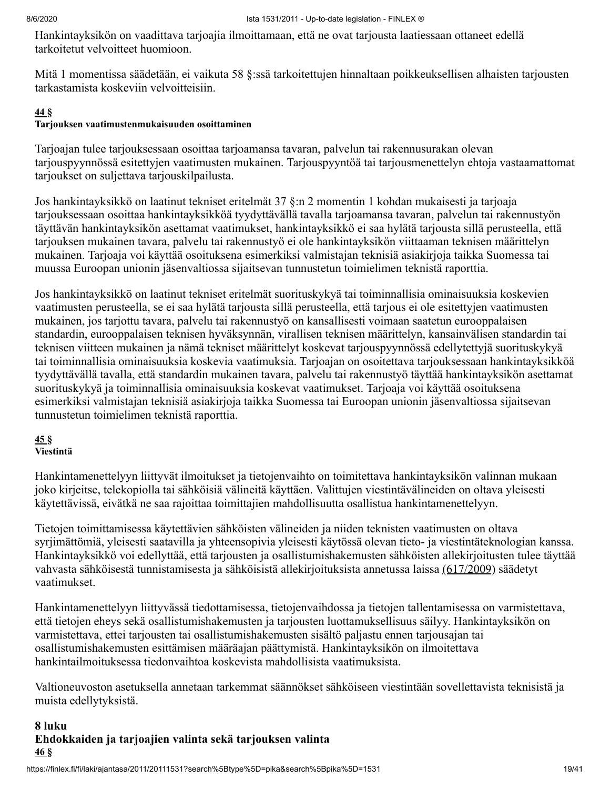Hankintayksikön on vaadittava tarjoajia ilmoittamaan, että ne ovat tarjousta laatiessaan ottaneet edellä tarkoitetut velvoitteet huomioon.

Mitä 1 momentissa säädetään, ei vaikuta 58 §:ssä tarkoitettujen hinnaltaan poikkeuksellisen alhaisten tarjousten tarkastamista koskeviin velvoitteisiin.

#### **[44](#page-39-0) §**

#### **Tarjouksen vaatimustenmukaisuuden osoittaminen**

Tarjoajan tulee tarjouksessaan osoittaa tarjoamansa tavaran, palvelun tai rakennusurakan olevan tarjouspyynnössä esitettyjen vaatimusten mukainen. Tarjouspyyntöä tai tarjousmenettelyn ehtoja vastaamattomat tarjoukset on suljettava tarjouskilpailusta.

Jos hankintayksikkö on laatinut tekniset eritelmät 37 §:n 2 momentin 1 kohdan mukaisesti ja tarjoaja tarjouksessaan osoittaa hankintayksikköä tyydyttävällä tavalla tarjoamansa tavaran, palvelun tai rakennustyön täyttävän hankintayksikön asettamat vaatimukset, hankintayksikkö ei saa hylätä tarjousta sillä perusteella, että tarjouksen mukainen tavara, palvelu tai rakennustyö ei ole hankintayksikön viittaaman teknisen määrittelyn mukainen. Tarjoaja voi käyttää osoituksena esimerkiksi valmistajan teknisiä asiakirjoja taikka Suomessa tai muussa Euroopan unionin jäsenvaltiossa sijaitsevan tunnustetun toimielimen teknistä raporttia.

Jos hankintayksikkö on laatinut tekniset eritelmät suorituskykyä tai toiminnallisia ominaisuuksia koskevien vaatimusten perusteella, se ei saa hylätä tarjousta sillä perusteella, että tarjous ei ole esitettyjen vaatimusten mukainen, jos tarjottu tavara, palvelu tai rakennustyö on kansallisesti voimaan saatetun eurooppalaisen standardin, eurooppalaisen teknisen hyväksynnän, virallisen teknisen määrittelyn, kansainvälisen standardin tai teknisen viitteen mukainen ja nämä tekniset määrittelyt koskevat tarjouspyynnössä edellytettyjä suorituskykyä tai toiminnallisia ominaisuuksia koskevia vaatimuksia. Tarjoajan on osoitettava tarjouksessaan hankintayksikköä tyydyttävällä tavalla, että standardin mukainen tavara, palvelu tai rakennustyö täyttää hankintayksikön asettamat suorituskykyä ja toiminnallisia ominaisuuksia koskevat vaatimukset. Tarjoaja voi käyttää osoituksena esimerkiksi valmistajan teknisiä asiakirjoja taikka Suomessa tai Euroopan unionin jäsenvaltiossa sijaitsevan tunnustetun toimielimen teknistä raporttia.

## **[45](#page-39-0) §**

## **Viestintä**

Hankintamenettelyyn liittyvät ilmoitukset ja tietojenvaihto on toimitettava hankintayksikön valinnan mukaan joko kirjeitse, telekopiolla tai sähköisiä välineitä käyttäen. Valittujen viestintävälineiden on oltava yleisesti käytettävissä, eivätkä ne saa rajoittaa toimittajien mahdollisuutta osallistua hankintamenettelyyn.

Tietojen toimittamisessa käytettävien sähköisten välineiden ja niiden teknisten vaatimusten on oltava syrjimättömiä, yleisesti saatavilla ja yhteensopivia yleisesti käytössä olevan tieto- ja viestintäteknologian kanssa. Hankintayksikkö voi edellyttää, että tarjousten ja osallistumishakemusten sähköisten allekirjoitusten tulee täyttää vahvasta sähköisestä tunnistamisesta ja sähköisistä allekirjoituksista annetussa laissa [\(617/2009\)](https://finlex.fi/fi/laki/ajantasa/2009/20090617) säädetyt vaatimukset.

Hankintamenettelyyn liittyvässä tiedottamisessa, tietojenvaihdossa ja tietojen tallentamisessa on varmistettava, että tietojen eheys sekä osallistumishakemusten ja tarjousten luottamuksellisuus säilyy. Hankintayksikön on varmistettava, ettei tarjousten tai osallistumishakemusten sisältö paljastu ennen tarjousajan tai osallistumishakemusten esittämisen määräajan päättymistä. Hankintayksikön on ilmoitettava hankintailmoituksessa tiedonvaihtoa koskevista mahdollisista vaatimuksista.

Valtioneuvoston asetuksella annetaan tarkemmat säännökset sähköiseen viestintään sovellettavista teknisistä ja muista edellytyksistä.

## **8 luku Ehdokkaiden ja tarjoajien valinta sekä tarjouksen valinta [46](#page-39-0) §**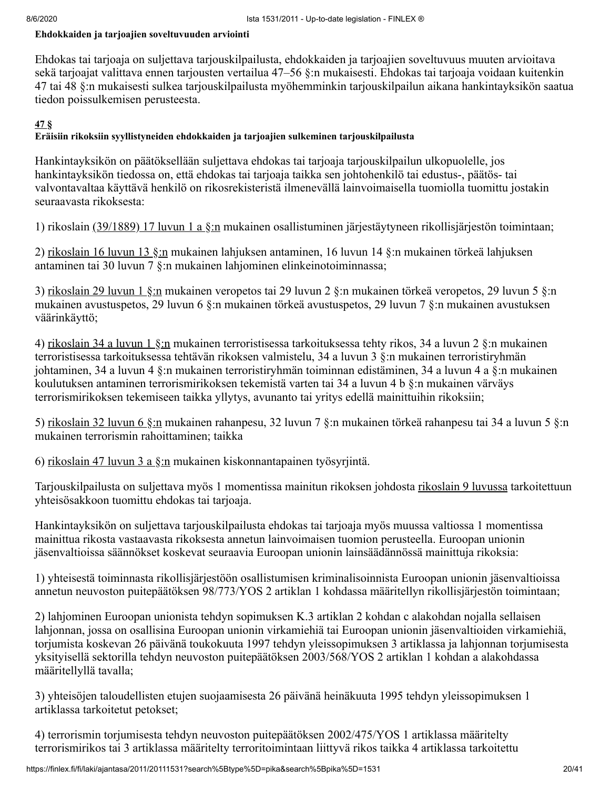#### **Ehdokkaiden ja tarjoajien soveltuvuuden arviointi**

Ehdokas tai tarjoaja on suljettava tarjouskilpailusta, ehdokkaiden ja tarjoajien soveltuvuus muuten arvioitava sekä tarjoajat valittava ennen tarjousten vertailua 47–56 §:n mukaisesti. Ehdokas tai tarjoaja voidaan kuitenkin 47 tai 48 §:n mukaisesti sulkea tarjouskilpailusta myöhemminkin tarjouskilpailun aikana hankintayksikön saatua tiedon poissulkemisen perusteesta.

#### **[47](#page-39-0) §**

#### **Eräisiin rikoksiin syyllistyneiden ehdokkaiden ja tarjoajien sulkeminen tarjouskilpailusta**

Hankintayksikön on päätöksellään suljettava ehdokas tai tarjoaja tarjouskilpailun ulkopuolelle, jos hankintayksikön tiedossa on, että ehdokas tai tarjoaja taikka sen johtohenkilö tai edustus-, päätös- tai valvontavaltaa käyttävä henkilö on rikosrekisteristä ilmenevällä lainvoimaisella tuomiolla tuomittu jostakin seuraavasta rikoksesta:

1) rikoslain [\(39/1889\) 17 luvun 1 a §:n](https://finlex.fi/fi/laki/ajantasa/1889/18890039) mukainen osallistuminen järjestäytyneen rikollisjärjestön toimintaan;

2) [rikoslain 16 luvun 13 §:n](https://finlex.fi/fi/laki/ajantasa/1889/18890039) mukainen lahjuksen antaminen, 16 luvun 14 §:n mukainen törkeä lahjuksen antaminen tai 30 luvun 7 §:n mukainen lahjominen elinkeinotoiminnassa;

3) [rikoslain 29 luvun 1 §:n](https://finlex.fi/fi/laki/ajantasa/1889/18890039) mukainen veropetos tai 29 luvun 2 §:n mukainen törkeä veropetos, 29 luvun 5 §:n mukainen avustuspetos, 29 luvun 6 §:n mukainen törkeä avustuspetos, 29 luvun 7 §:n mukainen avustuksen väärinkäyttö;

4) [rikoslain 34 a luvun 1 §:n](https://finlex.fi/fi/laki/ajantasa/1889/18890039) mukainen terroristisessa tarkoituksessa tehty rikos, 34 a luvun 2 §:n mukainen terroristisessa tarkoituksessa tehtävän rikoksen valmistelu, 34 a luvun 3 §:n mukainen terroristiryhmän johtaminen, 34 a luvun 4 §:n mukainen terroristiryhmän toiminnan edistäminen, 34 a luvun 4 a §:n mukainen koulutuksen antaminen terrorismirikoksen tekemistä varten tai 34 a luvun 4 b §:n mukainen värväys terrorismirikoksen tekemiseen taikka yllytys, avunanto tai yritys edellä mainittuihin rikoksiin;

5) [rikoslain 32 luvun 6 §:n](https://finlex.fi/fi/laki/ajantasa/1889/18890039) mukainen rahanpesu, 32 luvun 7 §:n mukainen törkeä rahanpesu tai 34 a luvun 5 §:n mukainen terrorismin rahoittaminen; taikka

6) [rikoslain 47 luvun 3 a §:n](https://finlex.fi/fi/laki/ajantasa/1889/18890039) mukainen kiskonnantapainen työsyrjintä.

Tarjouskilpailusta on suljettava myös 1 momentissa mainitun rikoksen johdosta [rikoslain 9 luvussa](https://finlex.fi/fi/laki/ajantasa/1889/18890039) tarkoitettuun yhteisösakkoon tuomittu ehdokas tai tarjoaja.

Hankintayksikön on suljettava tarjouskilpailusta ehdokas tai tarjoaja myös muussa valtiossa 1 momentissa mainittua rikosta vastaavasta rikoksesta annetun lainvoimaisen tuomion perusteella. Euroopan unionin jäsenvaltioissa säännökset koskevat seuraavia Euroopan unionin lainsäädännössä mainittuja rikoksia:

1) yhteisestä toiminnasta rikollisjärjestöön osallistumisen kriminalisoinnista Euroopan unionin jäsenvaltioissa annetun neuvoston puitepäätöksen 98/773/YOS 2 artiklan 1 kohdassa määritellyn rikollisjärjestön toimintaan;

2) lahjominen Euroopan unionista tehdyn sopimuksen K.3 artiklan 2 kohdan c alakohdan nojalla sellaisen lahjonnan, jossa on osallisina Euroopan unionin virkamiehiä tai Euroopan unionin jäsenvaltioiden virkamiehiä, torjumista koskevan 26 päivänä toukokuuta 1997 tehdyn yleissopimuksen 3 artiklassa ja lahjonnan torjumisesta yksityisellä sektorilla tehdyn neuvoston puitepäätöksen 2003/568/YOS 2 artiklan 1 kohdan a alakohdassa määritellyllä tavalla;

3) yhteisöjen taloudellisten etujen suojaamisesta 26 päivänä heinäkuuta 1995 tehdyn yleissopimuksen 1 artiklassa tarkoitetut petokset;

4) terrorismin torjumisesta tehdyn neuvoston puitepäätöksen 2002/475/YOS 1 artiklassa määritelty terrorismirikos tai 3 artiklassa määritelty terroritoimintaan liittyvä rikos taikka 4 artiklassa tarkoitettu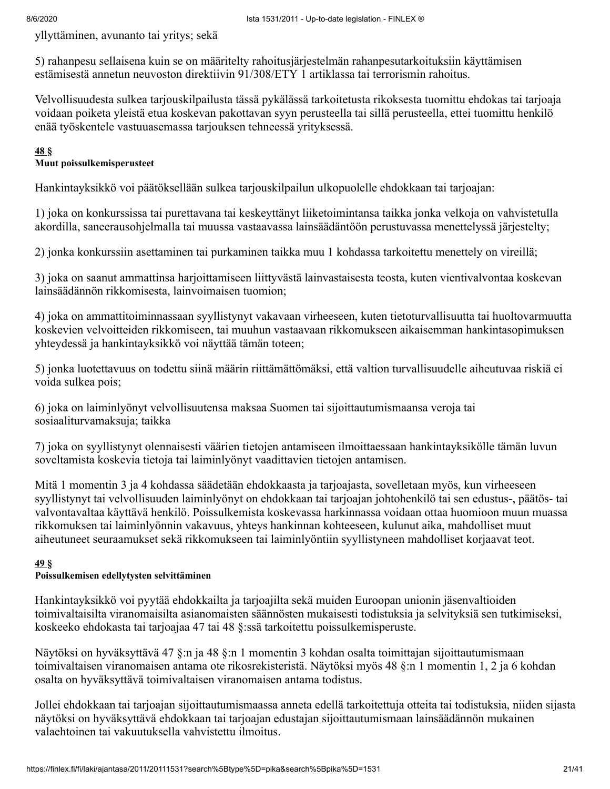yllyttäminen, avunanto tai yritys; sekä

5) rahanpesu sellaisena kuin se on määritelty rahoitusjärjestelmän rahanpesutarkoituksiin käyttämisen estämisestä annetun neuvoston direktiivin 91/308/ETY 1 artiklassa tai terrorismin rahoitus.

Velvollisuudesta sulkea tarjouskilpailusta tässä pykälässä tarkoitetusta rikoksesta tuomittu ehdokas tai tarjoaja voidaan poiketa yleistä etua koskevan pakottavan syyn perusteella tai sillä perusteella, ettei tuomittu henkilö enää työskentele vastuuasemassa tarjouksen tehneessä yrityksessä.

#### **[48](#page-39-0) §**

#### **Muut poissulkemisperusteet**

Hankintayksikkö voi päätöksellään sulkea tarjouskilpailun ulkopuolelle ehdokkaan tai tarjoajan:

1) joka on konkurssissa tai purettavana tai keskeyttänyt liiketoimintansa taikka jonka velkoja on vahvistetulla akordilla, saneerausohjelmalla tai muussa vastaavassa lainsäädäntöön perustuvassa menettelyssä järjestelty;

2) jonka konkurssiin asettaminen tai purkaminen taikka muu 1 kohdassa tarkoitettu menettely on vireillä;

3) joka on saanut ammattinsa harjoittamiseen liittyvästä lainvastaisesta teosta, kuten vientivalvontaa koskevan lainsäädännön rikkomisesta, lainvoimaisen tuomion;

4) joka on ammattitoiminnassaan syyllistynyt vakavaan virheeseen, kuten tietoturvallisuutta tai huoltovarmuutta koskevien velvoitteiden rikkomiseen, tai muuhun vastaavaan rikkomukseen aikaisemman hankintasopimuksen yhteydessä ja hankintayksikkö voi näyttää tämän toteen;

5) jonka luotettavuus on todettu siinä määrin riittämättömäksi, että valtion turvallisuudelle aiheutuvaa riskiä ei voida sulkea pois;

6) joka on laiminlyönyt velvollisuutensa maksaa Suomen tai sijoittautumismaansa veroja tai sosiaaliturvamaksuja; taikka

7) joka on syyllistynyt olennaisesti väärien tietojen antamiseen ilmoittaessaan hankintayksikölle tämän luvun soveltamista koskevia tietoja tai laiminlyönyt vaadittavien tietojen antamisen.

Mitä 1 momentin 3 ja 4 kohdassa säädetään ehdokkaasta ja tarjoajasta, sovelletaan myös, kun virheeseen syyllistynyt tai velvollisuuden laiminlyönyt on ehdokkaan tai tarjoajan johtohenkilö tai sen edustus-, päätös- tai valvontavaltaa käyttävä henkilö. Poissulkemista koskevassa harkinnassa voidaan ottaa huomioon muun muassa rikkomuksen tai laiminlyönnin vakavuus, yhteys hankinnan kohteeseen, kulunut aika, mahdolliset muut aiheutuneet seuraamukset sekä rikkomukseen tai laiminlyöntiin syyllistyneen mahdolliset korjaavat teot.

#### **[49](#page-39-0) §**

#### **Poissulkemisen edellytysten selvittäminen**

Hankintayksikkö voi pyytää ehdokkailta ja tarjoajilta sekä muiden Euroopan unionin jäsenvaltioiden toimivaltaisilta viranomaisilta asianomaisten säännösten mukaisesti todistuksia ja selvityksiä sen tutkimiseksi, koskeeko ehdokasta tai tarjoajaa 47 tai 48 §:ssä tarkoitettu poissulkemisperuste.

Näytöksi on hyväksyttävä 47 §:n ja 48 §:n 1 momentin 3 kohdan osalta toimittajan sijoittautumismaan toimivaltaisen viranomaisen antama ote rikosrekisteristä. Näytöksi myös 48 §:n 1 momentin 1, 2 ja 6 kohdan osalta on hyväksyttävä toimivaltaisen viranomaisen antama todistus.

Jollei ehdokkaan tai tarjoajan sijoittautumismaassa anneta edellä tarkoitettuja otteita tai todistuksia, niiden sijasta näytöksi on hyväksyttävä ehdokkaan tai tarjoajan edustajan sijoittautumismaan lainsäädännön mukainen valaehtoinen tai vakuutuksella vahvistettu ilmoitus.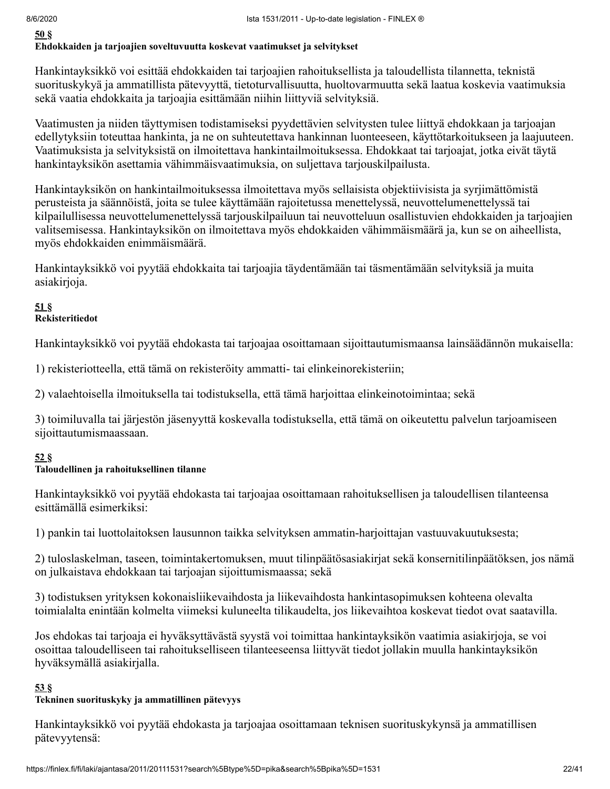**[50](#page-39-0) §**

#### **Ehdokkaiden ja tarjoajien soveltuvuutta koskevat vaatimukset ja selvitykset**

Hankintayksikkö voi esittää ehdokkaiden tai tarjoajien rahoituksellista ja taloudellista tilannetta, teknistä suorituskykyä ja ammatillista pätevyyttä, tietoturvallisuutta, huoltovarmuutta sekä laatua koskevia vaatimuksia sekä vaatia ehdokkaita ja tarjoajia esittämään niihin liittyviä selvityksiä.

Vaatimusten ja niiden täyttymisen todistamiseksi pyydettävien selvitysten tulee liittyä ehdokkaan ja tarjoajan edellytyksiin toteuttaa hankinta, ja ne on suhteutettava hankinnan luonteeseen, käyttötarkoitukseen ja laajuuteen. Vaatimuksista ja selvityksistä on ilmoitettava hankintailmoituksessa. Ehdokkaat tai tarjoajat, jotka eivät täytä hankintayksikön asettamia vähimmäisvaatimuksia, on suljettava tarjouskilpailusta.

Hankintayksikön on hankintailmoituksessa ilmoitettava myös sellaisista objektiivisista ja syrjimättömistä perusteista ja säännöistä, joita se tulee käyttämään rajoitetussa menettelyssä, neuvottelumenettelyssä tai kilpailullisessa neuvottelumenettelyssä tarjouskilpailuun tai neuvotteluun osallistuvien ehdokkaiden ja tarjoajien valitsemisessa. Hankintayksikön on ilmoitettava myös ehdokkaiden vähimmäismäärä ja, kun se on aiheellista, myös ehdokkaiden enimmäismäärä.

Hankintayksikkö voi pyytää ehdokkaita tai tarjoajia täydentämään tai täsmentämään selvityksiä ja muita asiakirjoja.

#### **[51](#page-39-0) § Rekisteritiedot**

Hankintayksikkö voi pyytää ehdokasta tai tarjoajaa osoittamaan sijoittautumismaansa lainsäädännön mukaisella:

1) rekisteriotteella, että tämä on rekisteröity ammatti- tai elinkeinorekisteriin;

2) valaehtoisella ilmoituksella tai todistuksella, että tämä harjoittaa elinkeinotoimintaa; sekä

3) toimiluvalla tai järjestön jäsenyyttä koskevalla todistuksella, että tämä on oikeutettu palvelun tarjoamiseen sijoittautumismaassaan.

### **[52](#page-39-0) §**

#### **Taloudellinen ja rahoituksellinen tilanne**

Hankintayksikkö voi pyytää ehdokasta tai tarjoajaa osoittamaan rahoituksellisen ja taloudellisen tilanteensa esittämällä esimerkiksi:

1) pankin tai luottolaitoksen lausunnon taikka selvityksen ammatin-harjoittajan vastuuvakuutuksesta;

2) tuloslaskelman, taseen, toimintakertomuksen, muut tilinpäätösasiakirjat sekä konsernitilinpäätöksen, jos nämä on julkaistava ehdokkaan tai tarjoajan sijoittumismaassa; sekä

3) todistuksen yrityksen kokonaisliikevaihdosta ja liikevaihdosta hankintasopimuksen kohteena olevalta toimialalta enintään kolmelta viimeksi kuluneelta tilikaudelta, jos liikevaihtoa koskevat tiedot ovat saatavilla.

Jos ehdokas tai tarjoaja ei hyväksyttävästä syystä voi toimittaa hankintayksikön vaatimia asiakirjoja, se voi osoittaa taloudelliseen tai rahoitukselliseen tilanteeseensa liittyvät tiedot jollakin muulla hankintayksikön hyväksymällä asiakirjalla.

### **[53](#page-39-0) §**

#### **Tekninen suorituskyky ja ammatillinen pätevyys**

Hankintayksikkö voi pyytää ehdokasta ja tarjoajaa osoittamaan teknisen suorituskykynsä ja ammatillisen pätevyytensä: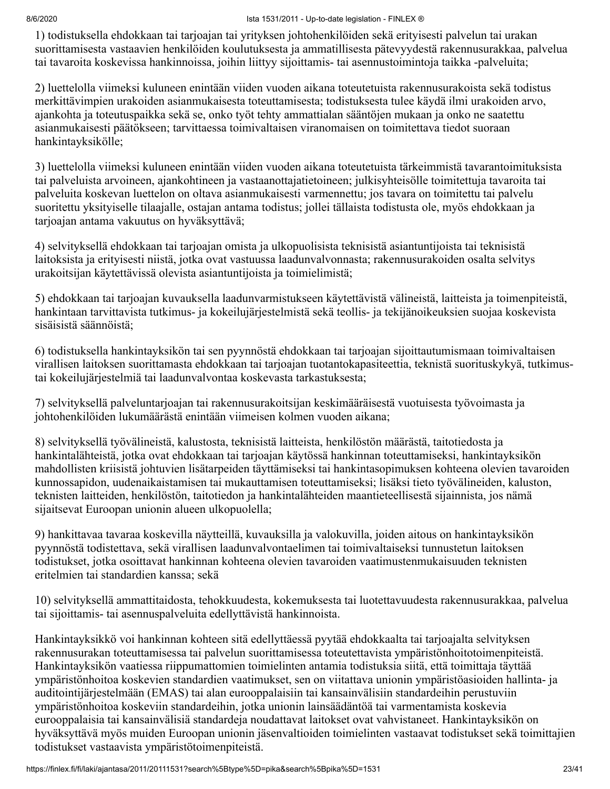1) todistuksella ehdokkaan tai tarjoajan tai yrityksen johtohenkilöiden sekä erityisesti palvelun tai urakan suorittamisesta vastaavien henkilöiden koulutuksesta ja ammatillisesta pätevyydestä rakennusurakkaa, palvelua tai tavaroita koskevissa hankinnoissa, joihin liittyy sijoittamis- tai asennustoimintoja taikka -palveluita;

2) luettelolla viimeksi kuluneen enintään viiden vuoden aikana toteutetuista rakennusurakoista sekä todistus merkittävimpien urakoiden asianmukaisesta toteuttamisesta; todistuksesta tulee käydä ilmi urakoiden arvo, ajankohta ja toteutuspaikka sekä se, onko työt tehty ammattialan sääntöjen mukaan ja onko ne saatettu asianmukaisesti päätökseen; tarvittaessa toimivaltaisen viranomaisen on toimitettava tiedot suoraan hankintayksikölle;

3) luettelolla viimeksi kuluneen enintään viiden vuoden aikana toteutetuista tärkeimmistä tavarantoimituksista tai palveluista arvoineen, ajankohtineen ja vastaanottajatietoineen; julkisyhteisölle toimitettuja tavaroita tai palveluita koskevan luettelon on oltava asianmukaisesti varmennettu; jos tavara on toimitettu tai palvelu suoritettu yksityiselle tilaajalle, ostajan antama todistus; jollei tällaista todistusta ole, myös ehdokkaan ja tarjoajan antama vakuutus on hyväksyttävä;

4) selvityksellä ehdokkaan tai tarjoajan omista ja ulkopuolisista teknisistä asiantuntijoista tai teknisistä laitoksista ja erityisesti niistä, jotka ovat vastuussa laadunvalvonnasta; rakennusurakoiden osalta selvitys urakoitsijan käytettävissä olevista asiantuntijoista ja toimielimistä;

5) ehdokkaan tai tarjoajan kuvauksella laadunvarmistukseen käytettävistä välineistä, laitteista ja toimenpiteistä, hankintaan tarvittavista tutkimus- ja kokeilujärjestelmistä sekä teollis- ja tekijänoikeuksien suojaa koskevista sisäisistä säännöistä;

6) todistuksella hankintayksikön tai sen pyynnöstä ehdokkaan tai tarjoajan sijoittautumismaan toimivaltaisen virallisen laitoksen suorittamasta ehdokkaan tai tarjoajan tuotantokapasiteettia, teknistä suorituskykyä, tutkimustai kokeilujärjestelmiä tai laadunvalvontaa koskevasta tarkastuksesta;

7) selvityksellä palveluntarjoajan tai rakennusurakoitsijan keskimääräisestä vuotuisesta työvoimasta ja johtohenkilöiden lukumäärästä enintään viimeisen kolmen vuoden aikana;

8) selvityksellä työvälineistä, kalustosta, teknisistä laitteista, henkilöstön määrästä, taitotiedosta ja hankintalähteistä, jotka ovat ehdokkaan tai tarjoajan käytössä hankinnan toteuttamiseksi, hankintayksikön mahdollisten kriisistä johtuvien lisätarpeiden täyttämiseksi tai hankintasopimuksen kohteena olevien tavaroiden kunnossapidon, uudenaikaistamisen tai mukauttamisen toteuttamiseksi; lisäksi tieto työvälineiden, kaluston, teknisten laitteiden, henkilöstön, taitotiedon ja hankintalähteiden maantieteellisestä sijainnista, jos nämä sijaitsevat Euroopan unionin alueen ulkopuolella;

9) hankittavaa tavaraa koskevilla näytteillä, kuvauksilla ja valokuvilla, joiden aitous on hankintayksikön pyynnöstä todistettava, sekä virallisen laadunvalvontaelimen tai toimivaltaiseksi tunnustetun laitoksen todistukset, jotka osoittavat hankinnan kohteena olevien tavaroiden vaatimustenmukaisuuden teknisten eritelmien tai standardien kanssa; sekä

10) selvityksellä ammattitaidosta, tehokkuudesta, kokemuksesta tai luotettavuudesta rakennusurakkaa, palvelua tai sijoittamis- tai asennuspalveluita edellyttävistä hankinnoista.

Hankintayksikkö voi hankinnan kohteen sitä edellyttäessä pyytää ehdokkaalta tai tarjoajalta selvityksen rakennusurakan toteuttamisessa tai palvelun suorittamisessa toteutettavista ympäristönhoitotoimenpiteistä. Hankintayksikön vaatiessa riippumattomien toimielinten antamia todistuksia siitä, että toimittaja täyttää ympäristönhoitoa koskevien standardien vaatimukset, sen on viitattava unionin ympäristöasioiden hallinta- ja auditointijärjestelmään (EMAS) tai alan eurooppalaisiin tai kansainvälisiin standardeihin perustuviin ympäristönhoitoa koskeviin standardeihin, jotka unionin lainsäädäntöä tai varmentamista koskevia eurooppalaisia tai kansainvälisiä standardeja noudattavat laitokset ovat vahvistaneet. Hankintayksikön on hyväksyttävä myös muiden Euroopan unionin jäsenvaltioiden toimielinten vastaavat todistukset sekä toimittajien todistukset vastaavista ympäristötoimenpiteistä.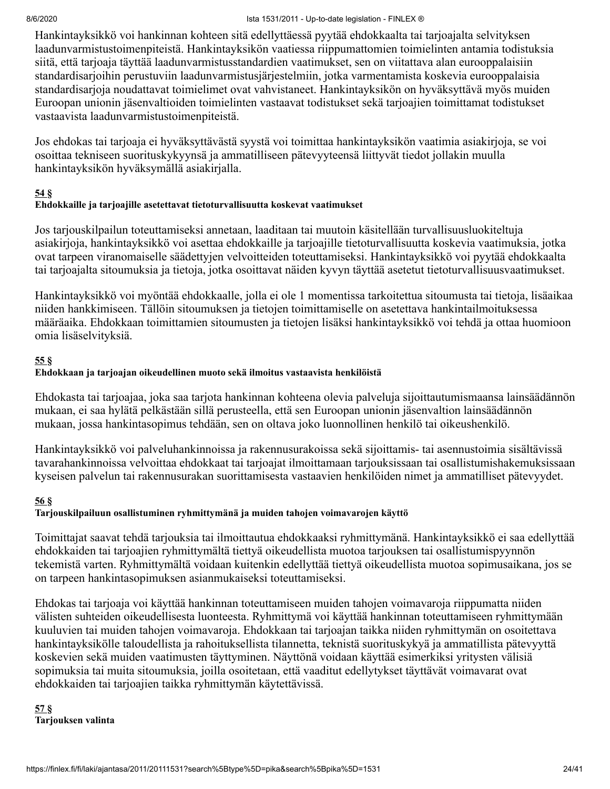Hankintayksikkö voi hankinnan kohteen sitä edellyttäessä pyytää ehdokkaalta tai tarjoajalta selvityksen laadunvarmistustoimenpiteistä. Hankintayksikön vaatiessa riippumattomien toimielinten antamia todistuksia siitä, että tarjoaja täyttää laadunvarmistusstandardien vaatimukset, sen on viitattava alan eurooppalaisiin standardisarjoihin perustuviin laadunvarmistusjärjestelmiin, jotka varmentamista koskevia eurooppalaisia standardisarjoja noudattavat toimielimet ovat vahvistaneet. Hankintayksikön on hyväksyttävä myös muiden Euroopan unionin jäsenvaltioiden toimielinten vastaavat todistukset sekä tarjoajien toimittamat todistukset vastaavista laadunvarmistustoimenpiteistä.

Jos ehdokas tai tarjoaja ei hyväksyttävästä syystä voi toimittaa hankintayksikön vaatimia asiakirjoja, se voi osoittaa tekniseen suorituskykyynsä ja ammatilliseen pätevyyteensä liittyvät tiedot jollakin muulla hankintayksikön hyväksymällä asiakirjalla.

### **[54](#page-39-0) §**

### **Ehdokkaille ja tarjoajille asetettavat tietoturvallisuutta koskevat vaatimukset**

Jos tarjouskilpailun toteuttamiseksi annetaan, laaditaan tai muutoin käsitellään turvallisuusluokiteltuja asiakirjoja, hankintayksikkö voi asettaa ehdokkaille ja tarjoajille tietoturvallisuutta koskevia vaatimuksia, jotka ovat tarpeen viranomaiselle säädettyjen velvoitteiden toteuttamiseksi. Hankintayksikkö voi pyytää ehdokkaalta tai tarjoajalta sitoumuksia ja tietoja, jotka osoittavat näiden kyvyn täyttää asetetut tietoturvallisuusvaatimukset.

Hankintayksikkö voi myöntää ehdokkaalle, jolla ei ole 1 momentissa tarkoitettua sitoumusta tai tietoja, lisäaikaa niiden hankkimiseen. Tällöin sitoumuksen ja tietojen toimittamiselle on asetettava hankintailmoituksessa määräaika. Ehdokkaan toimittamien sitoumusten ja tietojen lisäksi hankintayksikkö voi tehdä ja ottaa huomioon omia lisäselvityksiä.

### **[55](#page-39-0) §**

### **Ehdokkaan ja tarjoajan oikeudellinen muoto sekä ilmoitus vastaavista henkilöistä**

Ehdokasta tai tarjoajaa, joka saa tarjota hankinnan kohteena olevia palveluja sijoittautumismaansa lainsäädännön mukaan, ei saa hylätä pelkästään sillä perusteella, että sen Euroopan unionin jäsenvaltion lainsäädännön mukaan, jossa hankintasopimus tehdään, sen on oltava joko luonnollinen henkilö tai oikeushenkilö.

Hankintayksikkö voi palveluhankinnoissa ja rakennusurakoissa sekä sijoittamis- tai asennustoimia sisältävissä tavarahankinnoissa velvoittaa ehdokkaat tai tarjoajat ilmoittamaan tarjouksissaan tai osallistumishakemuksissaan kyseisen palvelun tai rakennusurakan suorittamisesta vastaavien henkilöiden nimet ja ammatilliset pätevyydet.

#### **[56](#page-39-0) §**

### **Tarjouskilpailuun osallistuminen ryhmittymänä ja muiden tahojen voimavarojen käyttö**

Toimittajat saavat tehdä tarjouksia tai ilmoittautua ehdokkaaksi ryhmittymänä. Hankintayksikkö ei saa edellyttää ehdokkaiden tai tarjoajien ryhmittymältä tiettyä oikeudellista muotoa tarjouksen tai osallistumispyynnön tekemistä varten. Ryhmittymältä voidaan kuitenkin edellyttää tiettyä oikeudellista muotoa sopimusaikana, jos se on tarpeen hankintasopimuksen asianmukaiseksi toteuttamiseksi.

Ehdokas tai tarjoaja voi käyttää hankinnan toteuttamiseen muiden tahojen voimavaroja riippumatta niiden välisten suhteiden oikeudellisesta luonteesta. Ryhmittymä voi käyttää hankinnan toteuttamiseen ryhmittymään kuuluvien tai muiden tahojen voimavaroja. Ehdokkaan tai tarjoajan taikka niiden ryhmittymän on osoitettava hankintayksikölle taloudellista ja rahoituksellista tilannetta, teknistä suorituskykyä ja ammatillista pätevyyttä koskevien sekä muiden vaatimusten täyttyminen. Näyttönä voidaan käyttää esimerkiksi yritysten välisiä sopimuksia tai muita sitoumuksia, joilla osoitetaan, että vaaditut edellytykset täyttävät voimavarat ovat ehdokkaiden tai tarjoajien taikka ryhmittymän käytettävissä.

**[57](#page-39-0) § Tarjouksen valinta**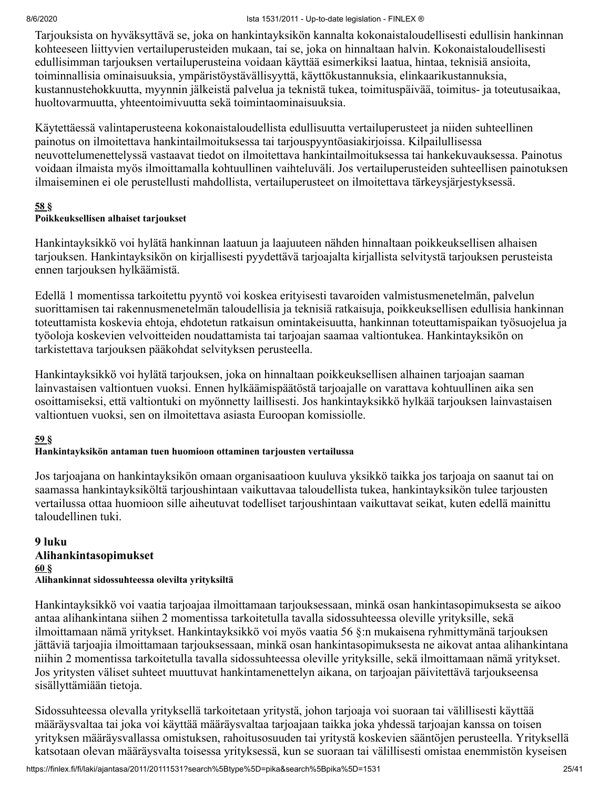Tarjouksista on hyväksyttävä se, joka on hankintayksikön kannalta kokonaistaloudellisesti edullisin hankinnan kohteeseen liittyvien vertailuperusteiden mukaan, tai se, joka on hinnaltaan halvin. Kokonaistaloudellisesti edullisimman tarjouksen vertailuperusteina voidaan käyttää esimerkiksi laatua, hintaa, teknisiä ansioita, toiminnallisia ominaisuuksia, ympäristöystävällisyyttä, käyttökustannuksia, elinkaarikustannuksia, kustannustehokkuutta, myynnin jälkeistä palvelua ja teknistä tukea, toimituspäivää, toimitus- ja toteutusaikaa, huoltovarmuutta, yhteentoimivuutta sekä toimintaominaisuuksia.

Käytettäessä valintaperusteena kokonaistaloudellista edullisuutta vertailuperusteet ja niiden suhteellinen painotus on ilmoitettava hankintailmoituksessa tai tarjouspyyntöasiakirjoissa. Kilpailullisessa neuvottelumenettelyssä vastaavat tiedot on ilmoitettava hankintailmoituksessa tai hankekuvauksessa. Painotus voidaan ilmaista myös ilmoittamalla kohtuullinen vaihteluväli. Jos vertailuperusteiden suhteellisen painotuksen ilmaiseminen ei ole perustellusti mahdollista, vertailuperusteet on ilmoitettava tärkeysjärjestyksessä.

#### **[58](#page-39-0) §**

#### **Poikkeuksellisen alhaiset tarjoukset**

Hankintayksikkö voi hylätä hankinnan laatuun ja laajuuteen nähden hinnaltaan poikkeuksellisen alhaisen tarjouksen. Hankintayksikön on kirjallisesti pyydettävä tarjoajalta kirjallista selvitystä tarjouksen perusteista ennen tarjouksen hylkäämistä.

Edellä 1 momentissa tarkoitettu pyyntö voi koskea erityisesti tavaroiden valmistusmenetelmän, palvelun suorittamisen tai rakennusmenetelmän taloudellisia ja teknisiä ratkaisuja, poikkeuksellisen edullisia hankinnan toteuttamista koskevia ehtoja, ehdotetun ratkaisun omintakeisuutta, hankinnan toteuttamispaikan työsuojelua ja työoloja koskevien velvoitteiden noudattamista tai tarjoajan saamaa valtiontukea. Hankintayksikön on tarkistettava tarjouksen pääkohdat selvityksen perusteella.

Hankintayksikkö voi hylätä tarjouksen, joka on hinnaltaan poikkeuksellisen alhainen tarjoajan saaman lainvastaisen valtiontuen vuoksi. Ennen hylkäämispäätöstä tarjoajalle on varattava kohtuullinen aika sen osoittamiseksi, että valtiontuki on myönnetty laillisesti. Jos hankintayksikkö hylkää tarjouksen lainvastaisen valtiontuen vuoksi, sen on ilmoitettava asiasta Euroopan komissiolle.

#### **[59](#page-39-0) §**

### **Hankintayksikön antaman tuen huomioon ottaminen tarjousten vertailussa**

Jos tarjoajana on hankintayksikön omaan organisaatioon kuuluva yksikkö taikka jos tarjoaja on saanut tai on saamassa hankintayksiköltä tarjoushintaan vaikuttavaa taloudellista tukea, hankintayksikön tulee tarjousten vertailussa ottaa huomioon sille aiheutuvat todelliset tarjoushintaan vaikuttavat seikat, kuten edellä mainittu taloudellinen tuki.

#### **9 luku Alihankintasopimukset [60](#page-39-0) § Alihankinnat sidossuhteessa olevilta yrityksiltä**

Hankintayksikkö voi vaatia tarjoajaa ilmoittamaan tarjouksessaan, minkä osan hankintasopimuksesta se aikoo antaa alihankintana siihen 2 momentissa tarkoitetulla tavalla sidossuhteessa oleville yrityksille, sekä ilmoittamaan nämä yritykset. Hankintayksikkö voi myös vaatia 56 §:n mukaisena ryhmittymänä tarjouksen jättäviä tarjoajia ilmoittamaan tarjouksessaan, minkä osan hankintasopimuksesta ne aikovat antaa alihankintana niihin 2 momentissa tarkoitetulla tavalla sidossuhteessa oleville yrityksille, sekä ilmoittamaan nämä yritykset. Jos yritysten väliset suhteet muuttuvat hankintamenettelyn aikana, on tarjoajan päivitettävä tarjoukseensa sisällyttämiään tietoja.

Sidossuhteessa olevalla yrityksellä tarkoitetaan yritystä, johon tarjoaja voi suoraan tai välillisesti käyttää määräysvaltaa tai joka voi käyttää määräysvaltaa tarjoajaan taikka joka yhdessä tarjoajan kanssa on toisen yrityksen määräysvallassa omistuksen, rahoitusosuuden tai yritystä koskevien sääntöjen perusteella. Yrityksellä katsotaan olevan määräysvalta toisessa yrityksessä, kun se suoraan tai välillisesti omistaa enemmistön kyseisen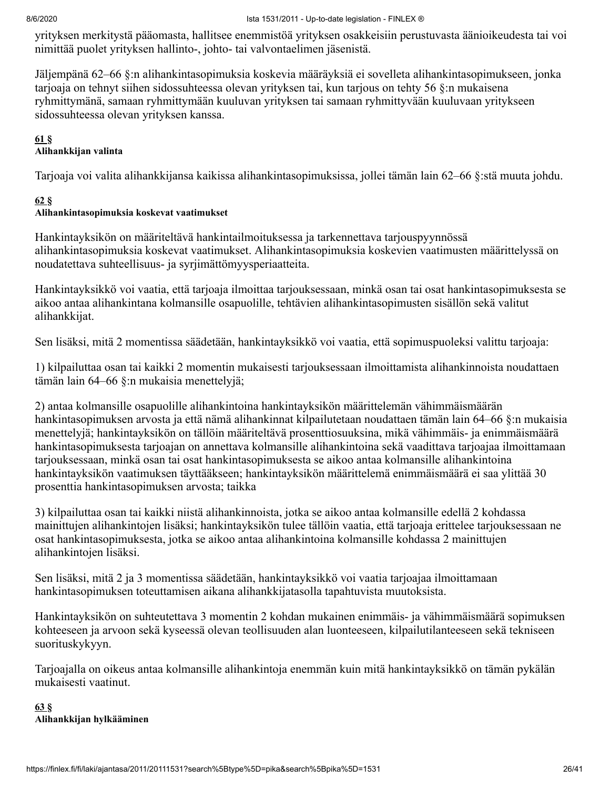yrityksen merkitystä pääomasta, hallitsee enemmistöä yrityksen osakkeisiin perustuvasta äänioikeudesta tai voi nimittää puolet yrityksen hallinto-, johto- tai valvontaelimen jäsenistä.

Jäljempänä 62–66 §:n alihankintasopimuksia koskevia määräyksiä ei sovelleta alihankintasopimukseen, jonka tarjoaja on tehnyt siihen sidossuhteessa olevan yrityksen tai, kun tarjous on tehty 56 §:n mukaisena ryhmittymänä, samaan ryhmittymään kuuluvan yrityksen tai samaan ryhmittyvään kuuluvaan yritykseen sidossuhteessa olevan yrityksen kanssa.

#### **[61](#page-39-0) §**

#### **Alihankkijan valinta**

Tarjoaja voi valita alihankkijansa kaikissa alihankintasopimuksissa, jollei tämän lain 62–66 §:stä muuta johdu.

#### **[62](#page-39-0) §**

#### **Alihankintasopimuksia koskevat vaatimukset**

Hankintayksikön on määriteltävä hankintailmoituksessa ja tarkennettava tarjouspyynnössä alihankintasopimuksia koskevat vaatimukset. Alihankintasopimuksia koskevien vaatimusten määrittelyssä on noudatettava suhteellisuus- ja syrjimättömyysperiaatteita.

Hankintayksikkö voi vaatia, että tarjoaja ilmoittaa tarjouksessaan, minkä osan tai osat hankintasopimuksesta se aikoo antaa alihankintana kolmansille osapuolille, tehtävien alihankintasopimusten sisällön sekä valitut alihankkijat.

Sen lisäksi, mitä 2 momentissa säädetään, hankintayksikkö voi vaatia, että sopimuspuoleksi valittu tarjoaja:

1) kilpailuttaa osan tai kaikki 2 momentin mukaisesti tarjouksessaan ilmoittamista alihankinnoista noudattaen tämän lain 64–66 §:n mukaisia menettelyjä;

2) antaa kolmansille osapuolille alihankintoina hankintayksikön määrittelemän vähimmäismäärän hankintasopimuksen arvosta ja että nämä alihankinnat kilpailutetaan noudattaen tämän lain 64–66 §:n mukaisia menettelyjä; hankintayksikön on tällöin määriteltävä prosenttiosuuksina, mikä vähimmäis- ja enimmäismäärä hankintasopimuksesta tarjoajan on annettava kolmansille alihankintoina sekä vaadittava tarjoajaa ilmoittamaan tarjouksessaan, minkä osan tai osat hankintasopimuksesta se aikoo antaa kolmansille alihankintoina hankintayksikön vaatimuksen täyttääkseen; hankintayksikön määrittelemä enimmäismäärä ei saa ylittää 30 prosenttia hankintasopimuksen arvosta; taikka

3) kilpailuttaa osan tai kaikki niistä alihankinnoista, jotka se aikoo antaa kolmansille edellä 2 kohdassa mainittujen alihankintojen lisäksi; hankintayksikön tulee tällöin vaatia, että tarjoaja erittelee tarjouksessaan ne osat hankintasopimuksesta, jotka se aikoo antaa alihankintoina kolmansille kohdassa 2 mainittujen alihankintojen lisäksi.

Sen lisäksi, mitä 2 ja 3 momentissa säädetään, hankintayksikkö voi vaatia tarjoajaa ilmoittamaan hankintasopimuksen toteuttamisen aikana alihankkijatasolla tapahtuvista muutoksista.

Hankintayksikön on suhteutettava 3 momentin 2 kohdan mukainen enimmäis- ja vähimmäismäärä sopimuksen kohteeseen ja arvoon sekä kyseessä olevan teollisuuden alan luonteeseen, kilpailutilanteeseen sekä tekniseen suorituskykyyn.

Tarjoajalla on oikeus antaa kolmansille alihankintoja enemmän kuin mitä hankintayksikkö on tämän pykälän mukaisesti vaatinut.

#### **[63](#page-39-0) § Alihankkijan hylkääminen**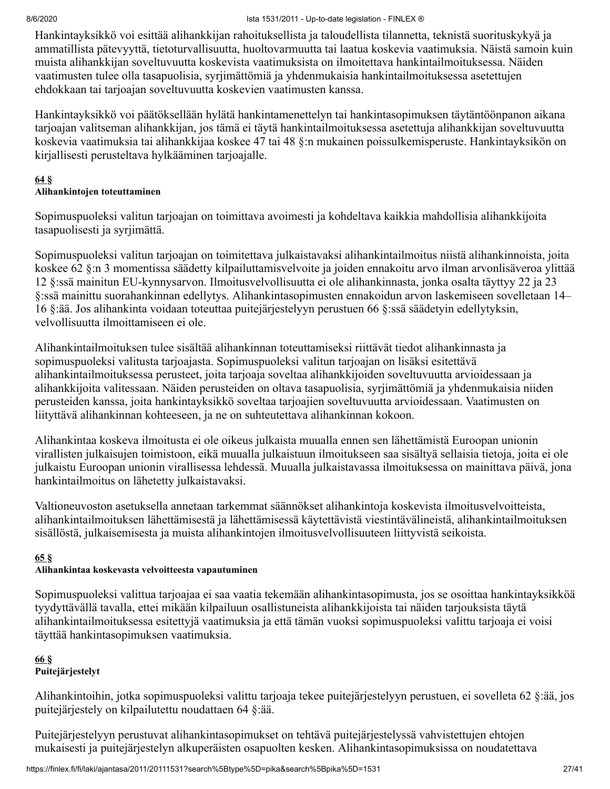Hankintayksikkö voi esittää alihankkijan rahoituksellista ja taloudellista tilannetta, teknistä suorituskykyä ja ammatillista pätevyyttä, tietoturvallisuutta, huoltovarmuutta tai laatua koskevia vaatimuksia. Näistä samoin kuin muista alihankkijan soveltuvuutta koskevista vaatimuksista on ilmoitettava hankintailmoituksessa. Näiden vaatimusten tulee olla tasapuolisia, syrjimättömiä ja yhdenmukaisia hankintailmoituksessa asetettujen ehdokkaan tai tarjoajan soveltuvuutta koskevien vaatimusten kanssa.

Hankintayksikkö voi päätöksellään hylätä hankintamenettelyn tai hankintasopimuksen täytäntöönpanon aikana tarjoajan valitseman alihankkijan, jos tämä ei täytä hankintailmoituksessa asetettuja alihankkijan soveltuvuutta koskevia vaatimuksia tai alihankkijaa koskee 47 tai 48 §:n mukainen poissulkemisperuste. Hankintayksikön on kirjallisesti perusteltava hylkääminen tarjoajalle.

#### **[64](#page-39-0) §**

#### **Alihankintojen toteuttaminen**

Sopimuspuoleksi valitun tarjoajan on toimittava avoimesti ja kohdeltava kaikkia mahdollisia alihankkijoita tasapuolisesti ja syrjimättä.

Sopimuspuoleksi valitun tarjoajan on toimitettava julkaistavaksi alihankintailmoitus niistä alihankinnoista, joita koskee 62 §:n 3 momentissa säädetty kilpailuttamisvelvoite ja joiden ennakoitu arvo ilman arvonlisäveroa ylittää 12 §:ssä mainitun EU-kynnysarvon. Ilmoitusvelvollisuutta ei ole alihankinnasta, jonka osalta täyttyy 22 ja 23 §:ssä mainittu suorahankinnan edellytys. Alihankintasopimusten ennakoidun arvon laskemiseen sovelletaan 14– 16 §:ää. Jos alihankinta voidaan toteuttaa puitejärjestelyyn perustuen 66 §:ssä säädetyin edellytyksin, velvollisuutta ilmoittamiseen ei ole.

Alihankintailmoituksen tulee sisältää alihankinnan toteuttamiseksi riittävät tiedot alihankinnasta ja sopimuspuoleksi valitusta tarjoajasta. Sopimuspuoleksi valitun tarjoajan on lisäksi esitettävä alihankintailmoituksessa perusteet, joita tarjoaja soveltaa alihankkijoiden soveltuvuutta arvioidessaan ja alihankkijoita valitessaan. Näiden perusteiden on oltava tasapuolisia, syrjimättömiä ja yhdenmukaisia niiden perusteiden kanssa, joita hankintayksikkö soveltaa tarjoajien soveltuvuutta arvioidessaan. Vaatimusten on liityttävä alihankinnan kohteeseen, ja ne on suhteutettava alihankinnan kokoon.

Alihankintaa koskeva ilmoitusta ei ole oikeus julkaista muualla ennen sen lähettämistä Euroopan unionin virallisten julkaisujen toimistoon, eikä muualla julkaistuun ilmoitukseen saa sisältyä sellaisia tietoja, joita ei ole julkaistu Euroopan unionin virallisessa lehdessä. Muualla julkaistavassa ilmoituksessa on mainittava päivä, jona hankintailmoitus on lähetetty julkaistavaksi.

Valtioneuvoston asetuksella annetaan tarkemmat säännökset alihankintoja koskevista ilmoitusvelvoitteista, alihankintailmoituksen lähettämisestä ja lähettämisessä käytettävistä viestintävälineistä, alihankintailmoituksen sisällöstä, julkaisemisesta ja muista alihankintojen ilmoitusvelvollisuuteen liittyvistä seikoista.

#### **[65](#page-39-0) §**

### **Alihankintaa koskevasta velvoitteesta vapautuminen**

Sopimuspuoleksi valittua tarjoajaa ei saa vaatia tekemään alihankintasopimusta, jos se osoittaa hankintayksikköä tyydyttävällä tavalla, ettei mikään kilpailuun osallistuneista alihankkijoista tai näiden tarjouksista täytä alihankintailmoituksessa esitettyjä vaatimuksia ja että tämän vuoksi sopimuspuoleksi valittu tarjoaja ei voisi täyttää hankintasopimuksen vaatimuksia.

#### **[66](#page-39-0) § Puitejärjestelyt**

Alihankintoihin, jotka sopimuspuoleksi valittu tarjoaja tekee puitejärjestelyyn perustuen, ei sovelleta 62 §:ää, jos puitejärjestely on kilpailutettu noudattaen 64 §:ää.

Puitejärjestelyyn perustuvat alihankintasopimukset on tehtävä puitejärjestelyssä vahvistettujen ehtojen mukaisesti ja puitejärjestelyn alkuperäisten osapuolten kesken. Alihankintasopimuksissa on noudatettava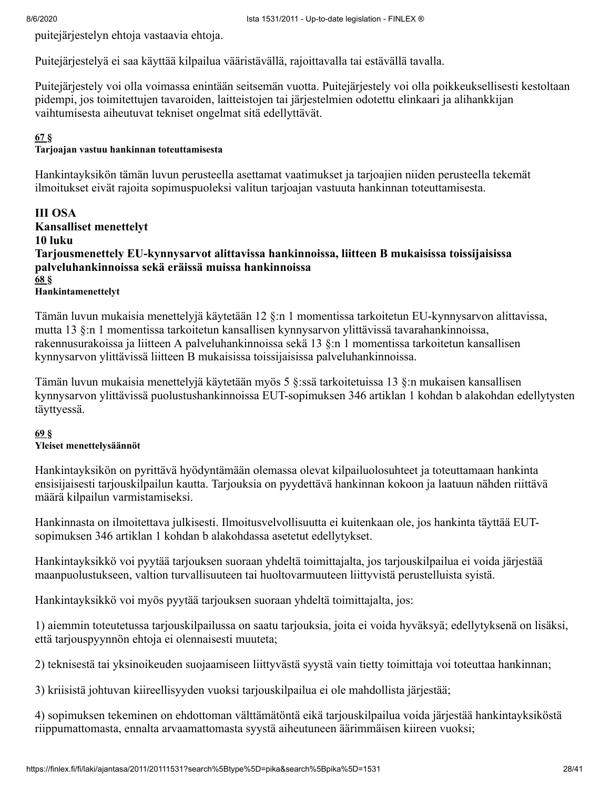puitejärjestelyn ehtoja vastaavia ehtoja.

Puitejärjestelyä ei saa käyttää kilpailua vääristävällä, rajoittavalla tai estävällä tavalla.

Puitejärjestely voi olla voimassa enintään seitsemän vuotta. Puitejärjestely voi olla poikkeuksellisesti kestoltaan pidempi, jos toimitettujen tavaroiden, laitteistojen tai järjestelmien odotettu elinkaari ja alihankkijan vaihtumisesta aiheutuvat tekniset ongelmat sitä edellyttävät.

#### **[67](#page-39-0) §**

#### **Tarjoajan vastuu hankinnan toteuttamisesta**

Hankintayksikön tämän luvun perusteella asettamat vaatimukset ja tarjoajien niiden perusteella tekemät ilmoitukset eivät rajoita sopimuspuoleksi valitun tarjoajan vastuuta hankinnan toteuttamisesta.

**III OSA Kansalliset menettelyt 10 luku Tarjousmenettely EU-kynnysarvot alittavissa hankinnoissa, liitteen B mukaisissa toissijaisissa palveluhankinnoissa sekä eräissä muissa hankinnoissa [68](#page-39-0) §**

**Hankintamenettelyt**

Tämän luvun mukaisia menettelyjä käytetään 12 §:n 1 momentissa tarkoitetun EU-kynnysarvon alittavissa, mutta 13 §:n 1 momentissa tarkoitetun kansallisen kynnysarvon ylittävissä tavarahankinnoissa, rakennusurakoissa ja liitteen A palveluhankinnoissa sekä 13 §:n 1 momentissa tarkoitetun kansallisen kynnysarvon ylittävissä liitteen B mukaisissa toissijaisissa palveluhankinnoissa.

Tämän luvun mukaisia menettelyjä käytetään myös 5 §:ssä tarkoitetuissa 13 §:n mukaisen kansallisen kynnysarvon ylittävissä puolustushankinnoissa EUT-sopimuksen 346 artiklan 1 kohdan b alakohdan edellytysten täyttyessä.

#### **[69](#page-39-0) § Yleiset menettelysäännöt**

Hankintayksikön on pyrittävä hyödyntämään olemassa olevat kilpailuolosuhteet ja toteuttamaan hankinta ensisijaisesti tarjouskilpailun kautta. Tarjouksia on pyydettävä hankinnan kokoon ja laatuun nähden riittävä määrä kilpailun varmistamiseksi.

Hankinnasta on ilmoitettava julkisesti. Ilmoitusvelvollisuutta ei kuitenkaan ole, jos hankinta täyttää EUTsopimuksen 346 artiklan 1 kohdan b alakohdassa asetetut edellytykset.

Hankintayksikkö voi pyytää tarjouksen suoraan yhdeltä toimittajalta, jos tarjouskilpailua ei voida järjestää maanpuolustukseen, valtion turvallisuuteen tai huoltovarmuuteen liittyvistä perustelluista syistä.

Hankintayksikkö voi myös pyytää tarjouksen suoraan yhdeltä toimittajalta, jos:

1) aiemmin toteutetussa tarjouskilpailussa on saatu tarjouksia, joita ei voida hyväksyä; edellytyksenä on lisäksi, että tarjouspyynnön ehtoja ei olennaisesti muuteta;

2) teknisestä tai yksinoikeuden suojaamiseen liittyvästä syystä vain tietty toimittaja voi toteuttaa hankinnan;

3) kriisistä johtuvan kiireellisyyden vuoksi tarjouskilpailua ei ole mahdollista järjestää;

4) sopimuksen tekeminen on ehdottoman välttämätöntä eikä tarjouskilpailua voida järjestää hankintayksiköstä riippumattomasta, ennalta arvaamattomasta syystä aiheutuneen äärimmäisen kiireen vuoksi;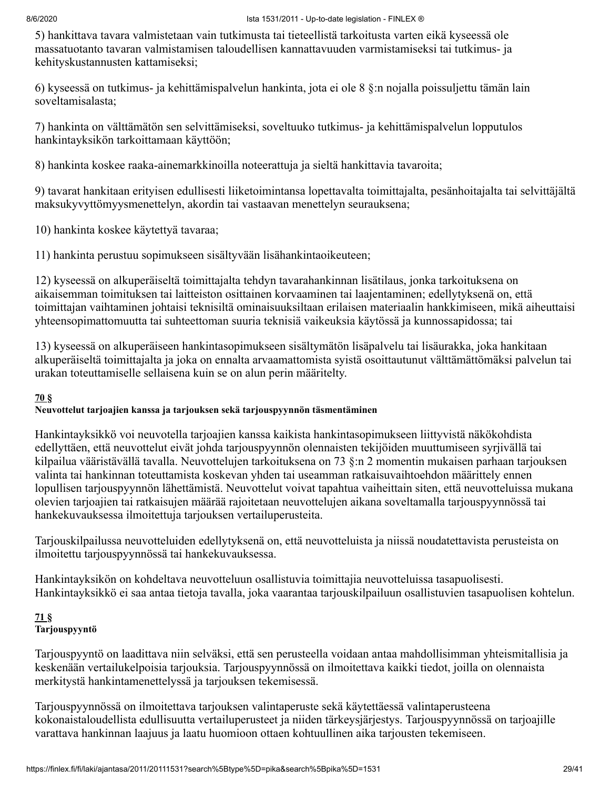5) hankittava tavara valmistetaan vain tutkimusta tai tieteellistä tarkoitusta varten eikä kyseessä ole massatuotanto tavaran valmistamisen taloudellisen kannattavuuden varmistamiseksi tai tutkimus- ja kehityskustannusten kattamiseksi;

6) kyseessä on tutkimus- ja kehittämispalvelun hankinta, jota ei ole 8 §:n nojalla poissuljettu tämän lain soveltamisalasta;

7) hankinta on välttämätön sen selvittämiseksi, soveltuuko tutkimus- ja kehittämispalvelun lopputulos hankintayksikön tarkoittamaan käyttöön;

8) hankinta koskee raaka-ainemarkkinoilla noteerattuja ja sieltä hankittavia tavaroita;

9) tavarat hankitaan erityisen edullisesti liiketoimintansa lopettavalta toimittajalta, pesänhoitajalta tai selvittäjältä maksukyvyttömyysmenettelyn, akordin tai vastaavan menettelyn seurauksena;

10) hankinta koskee käytettyä tavaraa;

11) hankinta perustuu sopimukseen sisältyvään lisähankintaoikeuteen;

12) kyseessä on alkuperäiseltä toimittajalta tehdyn tavarahankinnan lisätilaus, jonka tarkoituksena on aikaisemman toimituksen tai laitteiston osittainen korvaaminen tai laajentaminen; edellytyksenä on, että toimittajan vaihtaminen johtaisi teknisiltä ominaisuuksiltaan erilaisen materiaalin hankkimiseen, mikä aiheuttaisi yhteensopimattomuutta tai suhteettoman suuria teknisiä vaikeuksia käytössä ja kunnossapidossa; tai

13) kyseessä on alkuperäiseen hankintasopimukseen sisältymätön lisäpalvelu tai lisäurakka, joka hankitaan alkuperäiseltä toimittajalta ja joka on ennalta arvaamattomista syistä osoittautunut välttämättömäksi palvelun tai urakan toteuttamiselle sellaisena kuin se on alun perin määritelty.

#### **[70](#page-39-0) §**

#### **Neuvottelut tarjoajien kanssa ja tarjouksen sekä tarjouspyynnön täsmentäminen**

Hankintayksikkö voi neuvotella tarjoajien kanssa kaikista hankintasopimukseen liittyvistä näkökohdista edellyttäen, että neuvottelut eivät johda tarjouspyynnön olennaisten tekijöiden muuttumiseen syrjivällä tai kilpailua vääristävällä tavalla. Neuvottelujen tarkoituksena on 73 §:n 2 momentin mukaisen parhaan tarjouksen valinta tai hankinnan toteuttamista koskevan yhden tai useamman ratkaisuvaihtoehdon määrittely ennen lopullisen tarjouspyynnön lähettämistä. Neuvottelut voivat tapahtua vaiheittain siten, että neuvotteluissa mukana olevien tarjoajien tai ratkaisujen määrää rajoitetaan neuvottelujen aikana soveltamalla tarjouspyynnössä tai hankekuvauksessa ilmoitettuja tarjouksen vertailuperusteita.

Tarjouskilpailussa neuvotteluiden edellytyksenä on, että neuvotteluista ja niissä noudatettavista perusteista on ilmoitettu tarjouspyynnössä tai hankekuvauksessa.

Hankintayksikön on kohdeltava neuvotteluun osallistuvia toimittajia neuvotteluissa tasapuolisesti. Hankintayksikkö ei saa antaa tietoja tavalla, joka vaarantaa tarjouskilpailuun osallistuvien tasapuolisen kohtelun.

#### **[71](#page-39-0) § Tarjouspyyntö**

Tarjouspyyntö on laadittava niin selväksi, että sen perusteella voidaan antaa mahdollisimman yhteismitallisia ja keskenään vertailukelpoisia tarjouksia. Tarjouspyynnössä on ilmoitettava kaikki tiedot, joilla on olennaista merkitystä hankintamenettelyssä ja tarjouksen tekemisessä.

Tarjouspyynnössä on ilmoitettava tarjouksen valintaperuste sekä käytettäessä valintaperusteena kokonaistaloudellista edullisuutta vertailuperusteet ja niiden tärkeysjärjestys. Tarjouspyynnössä on tarjoajille varattava hankinnan laajuus ja laatu huomioon ottaen kohtuullinen aika tarjousten tekemiseen.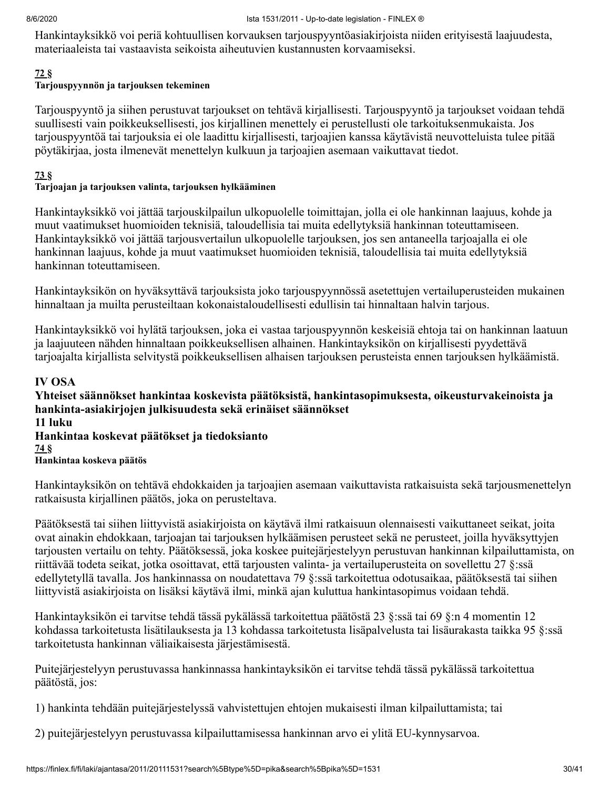Hankintayksikkö voi periä kohtuullisen korvauksen tarjouspyyntöasiakirjoista niiden erityisestä laajuudesta, materiaaleista tai vastaavista seikoista aiheutuvien kustannusten korvaamiseksi.

#### **[72](#page-39-0) §**

#### **Tarjouspyynnön ja tarjouksen tekeminen**

Tarjouspyyntö ja siihen perustuvat tarjoukset on tehtävä kirjallisesti. Tarjouspyyntö ja tarjoukset voidaan tehdä suullisesti vain poikkeuksellisesti, jos kirjallinen menettely ei perustellusti ole tarkoituksenmukaista. Jos tarjouspyyntöä tai tarjouksia ei ole laadittu kirjallisesti, tarjoajien kanssa käytävistä neuvotteluista tulee pitää pöytäkirjaa, josta ilmenevät menettelyn kulkuun ja tarjoajien asemaan vaikuttavat tiedot.

#### **[73](#page-39-0) §**

#### **Tarjoajan ja tarjouksen valinta, tarjouksen hylkääminen**

Hankintayksikkö voi jättää tarjouskilpailun ulkopuolelle toimittajan, jolla ei ole hankinnan laajuus, kohde ja muut vaatimukset huomioiden teknisiä, taloudellisia tai muita edellytyksiä hankinnan toteuttamiseen. Hankintayksikkö voi jättää tarjousvertailun ulkopuolelle tarjouksen, jos sen antaneella tarjoajalla ei ole hankinnan laajuus, kohde ja muut vaatimukset huomioiden teknisiä, taloudellisia tai muita edellytyksiä hankinnan toteuttamiseen.

Hankintayksikön on hyväksyttävä tarjouksista joko tarjouspyynnössä asetettujen vertailuperusteiden mukainen hinnaltaan ja muilta perusteiltaan kokonaistaloudellisesti edullisin tai hinnaltaan halvin tarjous.

Hankintayksikkö voi hylätä tarjouksen, joka ei vastaa tarjouspyynnön keskeisiä ehtoja tai on hankinnan laatuun ja laajuuteen nähden hinnaltaan poikkeuksellisen alhainen. Hankintayksikön on kirjallisesti pyydettävä tarjoajalta kirjallista selvitystä poikkeuksellisen alhaisen tarjouksen perusteista ennen tarjouksen hylkäämistä.

#### **IV OSA**

**Yhteiset säännökset hankintaa koskevista päätöksistä, hankintasopimuksesta, oikeusturvakeinoista ja hankinta-asiakirjojen julkisuudesta sekä erinäiset säännökset 11 luku Hankintaa koskevat päätökset ja tiedoksianto [74](#page-39-0) § Hankintaa koskeva päätös**

Hankintayksikön on tehtävä ehdokkaiden ja tarjoajien asemaan vaikuttavista ratkaisuista sekä tarjousmenettelyn ratkaisusta kirjallinen päätös, joka on perusteltava.

Päätöksestä tai siihen liittyvistä asiakirjoista on käytävä ilmi ratkaisuun olennaisesti vaikuttaneet seikat, joita ovat ainakin ehdokkaan, tarjoajan tai tarjouksen hylkäämisen perusteet sekä ne perusteet, joilla hyväksyttyjen tarjousten vertailu on tehty. Päätöksessä, joka koskee puitejärjestelyyn perustuvan hankinnan kilpailuttamista, on riittävää todeta seikat, jotka osoittavat, että tarjousten valinta- ja vertailuperusteita on sovellettu 27 §:ssä edellytetyllä tavalla. Jos hankinnassa on noudatettava 79 §:ssä tarkoitettua odotusaikaa, päätöksestä tai siihen liittyvistä asiakirjoista on lisäksi käytävä ilmi, minkä ajan kuluttua hankintasopimus voidaan tehdä.

Hankintayksikön ei tarvitse tehdä tässä pykälässä tarkoitettua päätöstä 23 §:ssä tai 69 §:n 4 momentin 12 kohdassa tarkoitetusta lisätilauksesta ja 13 kohdassa tarkoitetusta lisäpalvelusta tai lisäurakasta taikka 95 §:ssä tarkoitetusta hankinnan väliaikaisesta järjestämisestä.

Puitejärjestelyyn perustuvassa hankinnassa hankintayksikön ei tarvitse tehdä tässä pykälässä tarkoitettua päätöstä, jos:

1) hankinta tehdään puitejärjestelyssä vahvistettujen ehtojen mukaisesti ilman kilpailuttamista; tai

2) puitejärjestelyyn perustuvassa kilpailuttamisessa hankinnan arvo ei ylitä EU-kynnysarvoa.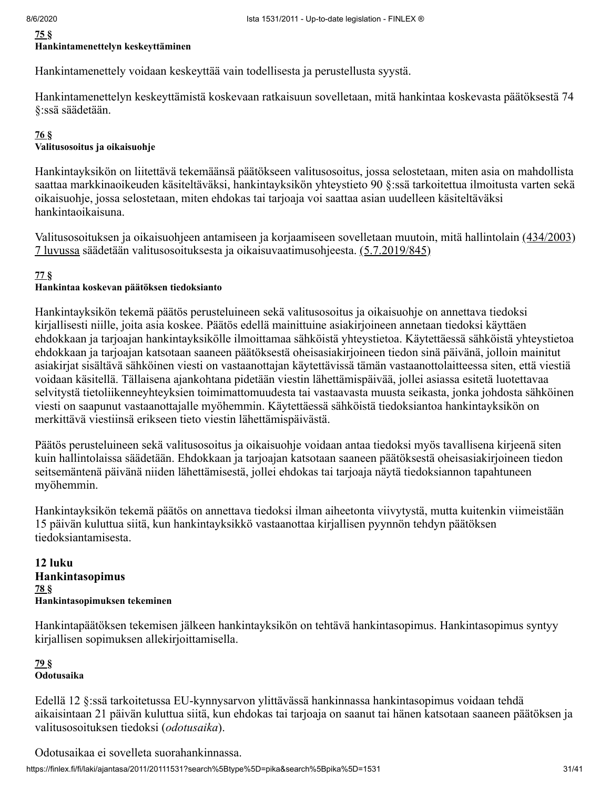#### **[75](#page-39-0) §**

#### **Hankintamenettelyn keskeyttäminen**

Hankintamenettely voidaan keskeyttää vain todellisesta ja perustellusta syystä.

Hankintamenettelyn keskeyttämistä koskevaan ratkaisuun sovelletaan, mitä hankintaa koskevasta päätöksestä 74 §:ssä säädetään.

#### **[76](#page-39-0) §**

#### **Valitusosoitus ja oikaisuohje**

Hankintayksikön on liitettävä tekemäänsä päätökseen valitusosoitus, jossa selostetaan, miten asia on mahdollista saattaa markkinaoikeuden käsiteltäväksi, hankintayksikön yhteystieto 90 §:ssä tarkoitettua ilmoitusta varten sekä oikaisuohje, jossa selostetaan, miten ehdokas tai tarjoaja voi saattaa asian uudelleen käsiteltäväksi hankintaoikaisuna.

[Valitusosoituksen ja oikaisuohjeen antamiseen ja korjaamiseen sovelletaan muutoin, mitä hallintolain \(434/2003\)](https://finlex.fi/fi/laki/smur/2003/20030434) 7 luvussa säädetään valitusosoituksesta ja oikaisuvaatimusohjeesta. [\(5.7.2019/845\)](#page-40-1)

#### **[77](#page-39-0) §**

#### **Hankintaa koskevan päätöksen tiedoksianto**

Hankintayksikön tekemä päätös perusteluineen sekä valitusosoitus ja oikaisuohje on annettava tiedoksi kirjallisesti niille, joita asia koskee. Päätös edellä mainittuine asiakirjoineen annetaan tiedoksi käyttäen ehdokkaan ja tarjoajan hankintayksikölle ilmoittamaa sähköistä yhteystietoa. Käytettäessä sähköistä yhteystietoa ehdokkaan ja tarjoajan katsotaan saaneen päätöksestä oheisasiakirjoineen tiedon sinä päivänä, jolloin mainitut asiakirjat sisältävä sähköinen viesti on vastaanottajan käytettävissä tämän vastaanottolaitteessa siten, että viestiä voidaan käsitellä. Tällaisena ajankohtana pidetään viestin lähettämispäivää, jollei asiassa esitetä luotettavaa selvitystä tietoliikenneyhteyksien toimimattomuudesta tai vastaavasta muusta seikasta, jonka johdosta sähköinen viesti on saapunut vastaanottajalle myöhemmin. Käytettäessä sähköistä tiedoksiantoa hankintayksikön on merkittävä viestiinsä erikseen tieto viestin lähettämispäivästä.

Päätös perusteluineen sekä valitusosoitus ja oikaisuohje voidaan antaa tiedoksi myös tavallisena kirjeenä siten kuin hallintolaissa säädetään. Ehdokkaan ja tarjoajan katsotaan saaneen päätöksestä oheisasiakirjoineen tiedon seitsemäntenä päivänä niiden lähettämisestä, jollei ehdokas tai tarjoaja näytä tiedoksiannon tapahtuneen myöhemmin.

Hankintayksikön tekemä päätös on annettava tiedoksi ilman aiheetonta viivytystä, mutta kuitenkin viimeistään 15 päivän kuluttua siitä, kun hankintayksikkö vastaanottaa kirjallisen pyynnön tehdyn päätöksen tiedoksiantamisesta.

#### **12 luku Hankintasopimus [78](#page-39-0) § Hankintasopimuksen tekeminen**

Hankintapäätöksen tekemisen jälkeen hankintayksikön on tehtävä hankintasopimus. Hankintasopimus syntyy kirjallisen sopimuksen allekirjoittamisella.

#### **[79](#page-39-0) § Odotusaika**

Edellä 12 §:ssä tarkoitetussa EU-kynnysarvon ylittävässä hankinnassa hankintasopimus voidaan tehdä aikaisintaan 21 päivän kuluttua siitä, kun ehdokas tai tarjoaja on saanut tai hänen katsotaan saaneen päätöksen ja valitusosoituksen tiedoksi (*odotusaika*).

Odotusaikaa ei sovelleta suorahankinnassa.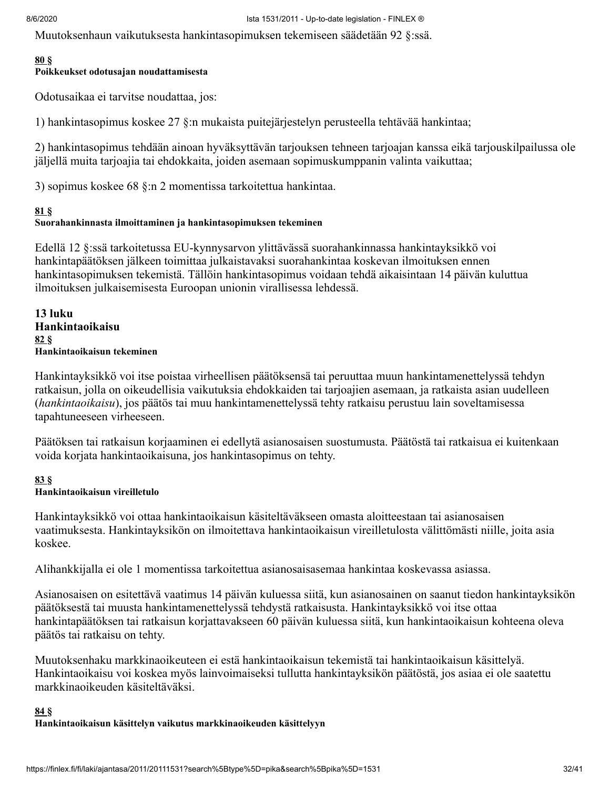Muutoksenhaun vaikutuksesta hankintasopimuksen tekemiseen säädetään 92 §:ssä.

#### **[80](#page-39-0) §**

#### **Poikkeukset odotusajan noudattamisesta**

Odotusaikaa ei tarvitse noudattaa, jos:

1) hankintasopimus koskee 27 §:n mukaista puitejärjestelyn perusteella tehtävää hankintaa;

2) hankintasopimus tehdään ainoan hyväksyttävän tarjouksen tehneen tarjoajan kanssa eikä tarjouskilpailussa ole jäljellä muita tarjoajia tai ehdokkaita, joiden asemaan sopimuskumppanin valinta vaikuttaa;

3) sopimus koskee 68 §:n 2 momentissa tarkoitettua hankintaa.

#### **[81](#page-39-0) §**

#### **Suorahankinnasta ilmoittaminen ja hankintasopimuksen tekeminen**

Edellä 12 §:ssä tarkoitetussa EU-kynnysarvon ylittävässä suorahankinnassa hankintayksikkö voi hankintapäätöksen jälkeen toimittaa julkaistavaksi suorahankintaa koskevan ilmoituksen ennen hankintasopimuksen tekemistä. Tällöin hankintasopimus voidaan tehdä aikaisintaan 14 päivän kuluttua ilmoituksen julkaisemisesta Euroopan unionin virallisessa lehdessä.

**13 luku Hankintaoikaisu [82](#page-39-0) § Hankintaoikaisun tekeminen**

Hankintayksikkö voi itse poistaa virheellisen päätöksensä tai peruuttaa muun hankintamenettelyssä tehdyn ratkaisun, jolla on oikeudellisia vaikutuksia ehdokkaiden tai tarjoajien asemaan, ja ratkaista asian uudelleen (*hankintaoikaisu*), jos päätös tai muu hankintamenettelyssä tehty ratkaisu perustuu lain soveltamisessa tapahtuneeseen virheeseen.

Päätöksen tai ratkaisun korjaaminen ei edellytä asianosaisen suostumusta. Päätöstä tai ratkaisua ei kuitenkaan voida korjata hankintaoikaisuna, jos hankintasopimus on tehty.

#### **[83](#page-39-0) §**

#### **Hankintaoikaisun vireilletulo**

Hankintayksikkö voi ottaa hankintaoikaisun käsiteltäväkseen omasta aloitteestaan tai asianosaisen vaatimuksesta. Hankintayksikön on ilmoitettava hankintaoikaisun vireilletulosta välittömästi niille, joita asia koskee.

Alihankkijalla ei ole 1 momentissa tarkoitettua asianosaisasemaa hankintaa koskevassa asiassa.

Asianosaisen on esitettävä vaatimus 14 päivän kuluessa siitä, kun asianosainen on saanut tiedon hankintayksikön päätöksestä tai muusta hankintamenettelyssä tehdystä ratkaisusta. Hankintayksikkö voi itse ottaa hankintapäätöksen tai ratkaisun korjattavakseen 60 päivän kuluessa siitä, kun hankintaoikaisun kohteena oleva päätös tai ratkaisu on tehty.

Muutoksenhaku markkinaoikeuteen ei estä hankintaoikaisun tekemistä tai hankintaoikaisun käsittelyä. Hankintaoikaisu voi koskea myös lainvoimaiseksi tullutta hankintayksikön päätöstä, jos asiaa ei ole saatettu markkinaoikeuden käsiteltäväksi.

#### **[84](#page-39-0) § Hankintaoikaisun käsittelyn vaikutus markkinaoikeuden käsittelyyn**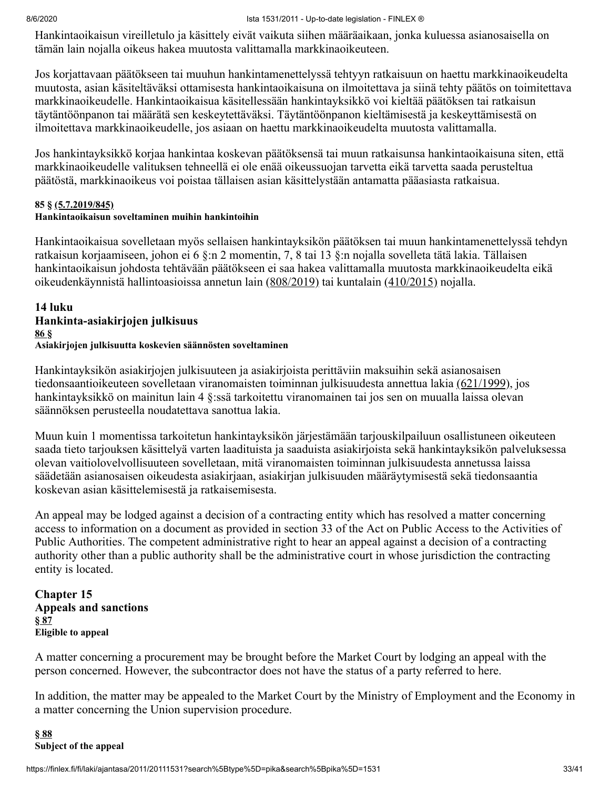Hankintaoikaisun vireilletulo ja käsittely eivät vaikuta siihen määräaikaan, jonka kuluessa asianosaisella on tämän lain nojalla oikeus hakea muutosta valittamalla markkinaoikeuteen.

Jos korjattavaan päätökseen tai muuhun hankintamenettelyssä tehtyyn ratkaisuun on haettu markkinaoikeudelta muutosta, asian käsiteltäväksi ottamisesta hankintaoikaisuna on ilmoitettava ja siinä tehty päätös on toimitettava markkinaoikeudelle. Hankintaoikaisua käsitellessään hankintayksikkö voi kieltää päätöksen tai ratkaisun täytäntöönpanon tai määrätä sen keskeytettäväksi. Täytäntöönpanon kieltämisestä ja keskeyttämisestä on ilmoitettava markkinaoikeudelle, jos asiaan on haettu markkinaoikeudelta muutosta valittamalla.

Jos hankintayksikkö korjaa hankintaa koskevan päätöksensä tai muun ratkaisunsa hankintaoikaisuna siten, että markkinaoikeudelle valituksen tehneellä ei ole enää oikeussuojan tarvetta eikä tarvetta saada perusteltua päätöstä, markkinaoikeus voi poistaa tällaisen asian käsittelystään antamatta pääasiasta ratkaisua.

#### **85 § [\(5.7.2019/845\)](#page-40-1)**

#### **Hankintaoikaisun soveltaminen muihin hankintoihin**

Hankintaoikaisua sovelletaan myös sellaisen hankintayksikön päätöksen tai muun hankintamenettelyssä tehdyn ratkaisun korjaamiseen, johon ei 6 §:n 2 momentin, 7, 8 tai 13 §:n nojalla sovelleta tätä lakia. Tällaisen hankintaoikaisun johdosta tehtävään päätökseen ei saa hakea valittamalla muutosta markkinaoikeudelta eikä oikeudenkäynnistä hallintoasioissa annetun lain [\(808/2019\)](https://finlex.fi/fi/laki/ajantasa/2019/20190808) tai kuntalain [\(410/2015\)](https://finlex.fi/fi/laki/ajantasa/2015/20150410) nojalla.

#### **14 luku Hankinta-asiakirjojen julkisuus [86](#page-39-0) § Asiakirjojen julkisuutta koskevien säännösten soveltaminen**

Hankintayksikön asiakirjojen julkisuuteen ja asiakirjoista perittäviin maksuihin sekä asianosaisen tiedonsaantioikeuteen sovelletaan viranomaisten toiminnan julkisuudesta annettua lakia [\(621/1999\),](https://finlex.fi/fi/laki/ajantasa/1999/19990621) jos hankintayksikkö on mainitun lain 4 §:ssä tarkoitettu viranomainen tai jos sen on muualla laissa olevan säännöksen perusteella noudatettava sanottua lakia.

Muun kuin 1 momentissa tarkoitetun hankintayksikön järjestämään tarjouskilpailuun osallistuneen oikeuteen saada tieto tarjouksen käsittelyä varten laadituista ja saaduista asiakirjoista sekä hankintayksikön palveluksessa olevan vaitiolovelvollisuuteen sovelletaan, mitä viranomaisten toiminnan julkisuudesta annetussa laissa säädetään asianosaisen oikeudesta asiakirjaan, asiakirjan julkisuuden määräytymisestä sekä tiedonsaantia koskevan asian käsittelemisestä ja ratkaisemisesta.

An appeal may be lodged against a decision of a contracting entity which has resolved a matter concerning access to information on a document as provided in section 33 of the Act on Public Access to the Activities of Public Authorities. The competent administrative right to hear an appeal against a decision of a contracting authority other than a public authority shall be the administrative court in whose jurisdiction the contracting entity is located.

**Chapter 15 Appeals and sanctions § [87](#page-39-0) Eligible to appeal**

A matter concerning a procurement may be brought before the Market Court by lodging an appeal with the person concerned. However, the subcontractor does not have the status of a party referred to here.

In addition, the matter may be appealed to the Market Court by the Ministry of Employment and the Economy in a matter concerning the Union supervision procedure.

#### **§ [88](#page-39-0) Subject of the appeal**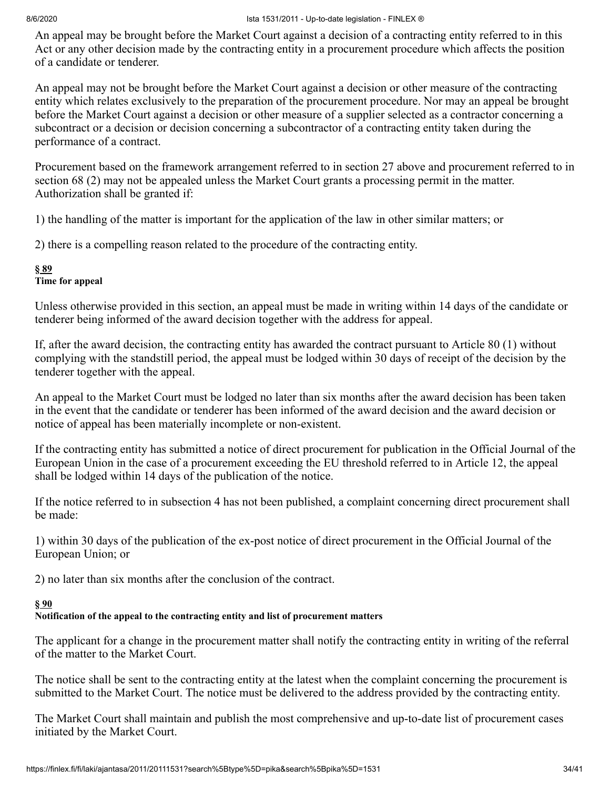An appeal may be brought before the Market Court against a decision of a contracting entity referred to in this Act or any other decision made by the contracting entity in a procurement procedure which affects the position of a candidate or tenderer.

An appeal may not be brought before the Market Court against a decision or other measure of the contracting entity which relates exclusively to the preparation of the procurement procedure. Nor may an appeal be brought before the Market Court against a decision or other measure of a supplier selected as a contractor concerning a subcontract or a decision or decision concerning a subcontractor of a contracting entity taken during the performance of a contract.

Procurement based on the framework arrangement referred to in section 27 above and procurement referred to in section 68 (2) may not be appealed unless the Market Court grants a processing permit in the matter. Authorization shall be granted if:

1) the handling of the matter is important for the application of the law in other similar matters; or

2) there is a compelling reason related to the procedure of the contracting entity.

## **§ [89](#page-39-0)**

#### **Time for appeal**

Unless otherwise provided in this section, an appeal must be made in writing within 14 days of the candidate or tenderer being informed of the award decision together with the address for appeal.

If, after the award decision, the contracting entity has awarded the contract pursuant to Article 80 (1) without complying with the standstill period, the appeal must be lodged within 30 days of receipt of the decision by the tenderer together with the appeal.

An appeal to the Market Court must be lodged no later than six months after the award decision has been taken in the event that the candidate or tenderer has been informed of the award decision and the award decision or notice of appeal has been materially incomplete or non-existent.

If the contracting entity has submitted a notice of direct procurement for publication in the Official Journal of the European Union in the case of a procurement exceeding the EU threshold referred to in Article 12, the appeal shall be lodged within 14 days of the publication of the notice.

If the notice referred to in subsection 4 has not been published, a complaint concerning direct procurement shall be made:

1) within 30 days of the publication of the ex-post notice of direct procurement in the Official Journal of the European Union; or

2) no later than six months after the conclusion of the contract.

#### **§ [90](#page-39-0)**

## **Notification of the appeal to the contracting entity and list of procurement matters**

The applicant for a change in the procurement matter shall notify the contracting entity in writing of the referral of the matter to the Market Court.

The notice shall be sent to the contracting entity at the latest when the complaint concerning the procurement is submitted to the Market Court. The notice must be delivered to the address provided by the contracting entity.

The Market Court shall maintain and publish the most comprehensive and up-to-date list of procurement cases initiated by the Market Court.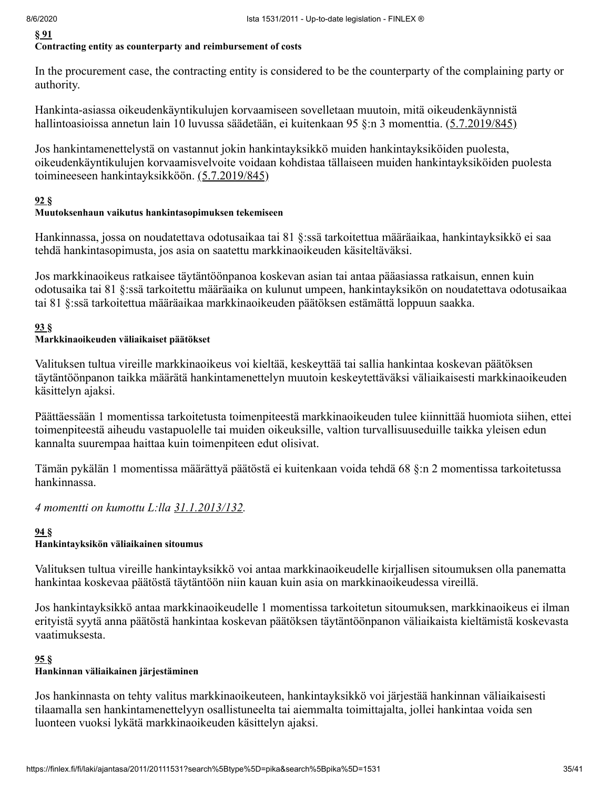**§ [91](#page-39-0)**

#### **Contracting entity as counterparty and reimbursement of costs**

In the procurement case, the contracting entity is considered to be the counterparty of the complaining party or authority.

Hankinta-asiassa oikeudenkäyntikulujen korvaamiseen sovelletaan muutoin, mitä oikeudenkäynnistä hallintoasioissa annetun lain 10 luvussa säädetään, ei kuitenkaan 95 §:n 3 momenttia. [\(5.7.2019/845\)](#page-40-1)

Jos hankintamenettelystä on vastannut jokin hankintayksikkö muiden hankintayksiköiden puolesta, oikeudenkäyntikulujen korvaamisvelvoite voidaan kohdistaa tällaiseen muiden hankintayksiköiden puolesta toimineeseen hankintayksikköön. [\(5.7.2019/845\)](#page-40-1)

#### **[92](#page-39-0) §**

#### **Muutoksenhaun vaikutus hankintasopimuksen tekemiseen**

Hankinnassa, jossa on noudatettava odotusaikaa tai 81 §:ssä tarkoitettua määräaikaa, hankintayksikkö ei saa tehdä hankintasopimusta, jos asia on saatettu markkinaoikeuden käsiteltäväksi.

Jos markkinaoikeus ratkaisee täytäntöönpanoa koskevan asian tai antaa pääasiassa ratkaisun, ennen kuin odotusaika tai 81 §:ssä tarkoitettu määräaika on kulunut umpeen, hankintayksikön on noudatettava odotusaikaa tai 81 §:ssä tarkoitettua määräaikaa markkinaoikeuden päätöksen estämättä loppuun saakka.

### **[93](#page-39-0) §**

#### **Markkinaoikeuden väliaikaiset päätökset**

Valituksen tultua vireille markkinaoikeus voi kieltää, keskeyttää tai sallia hankintaa koskevan päätöksen täytäntöönpanon taikka määrätä hankintamenettelyn muutoin keskeytettäväksi väliaikaisesti markkinaoikeuden käsittelyn ajaksi.

Päättäessään 1 momentissa tarkoitetusta toimenpiteestä markkinaoikeuden tulee kiinnittää huomiota siihen, ettei toimenpiteestä aiheudu vastapuolelle tai muiden oikeuksille, valtion turvallisuuseduille taikka yleisen edun kannalta suurempaa haittaa kuin toimenpiteen edut olisivat.

Tämän pykälän 1 momentissa määrättyä päätöstä ei kuitenkaan voida tehdä 68 §:n 2 momentissa tarkoitetussa hankinnassa.

#### *4 momentti on kumottu L:lla [31.1.2013/132.](#page-39-3)*

#### **[94](#page-39-0) §**

#### **Hankintayksikön väliaikainen sitoumus**

Valituksen tultua vireille hankintayksikkö voi antaa markkinaoikeudelle kirjallisen sitoumuksen olla panematta hankintaa koskevaa päätöstä täytäntöön niin kauan kuin asia on markkinaoikeudessa vireillä.

Jos hankintayksikkö antaa markkinaoikeudelle 1 momentissa tarkoitetun sitoumuksen, markkinaoikeus ei ilman erityistä syytä anna päätöstä hankintaa koskevan päätöksen täytäntöönpanon väliaikaista kieltämistä koskevasta vaatimuksesta.

#### **[95](#page-39-0) §**

#### **Hankinnan väliaikainen järjestäminen**

Jos hankinnasta on tehty valitus markkinaoikeuteen, hankintayksikkö voi järjestää hankinnan väliaikaisesti tilaamalla sen hankintamenettelyyn osallistuneelta tai aiemmalta toimittajalta, jollei hankintaa voida sen luonteen vuoksi lykätä markkinaoikeuden käsittelyn ajaksi.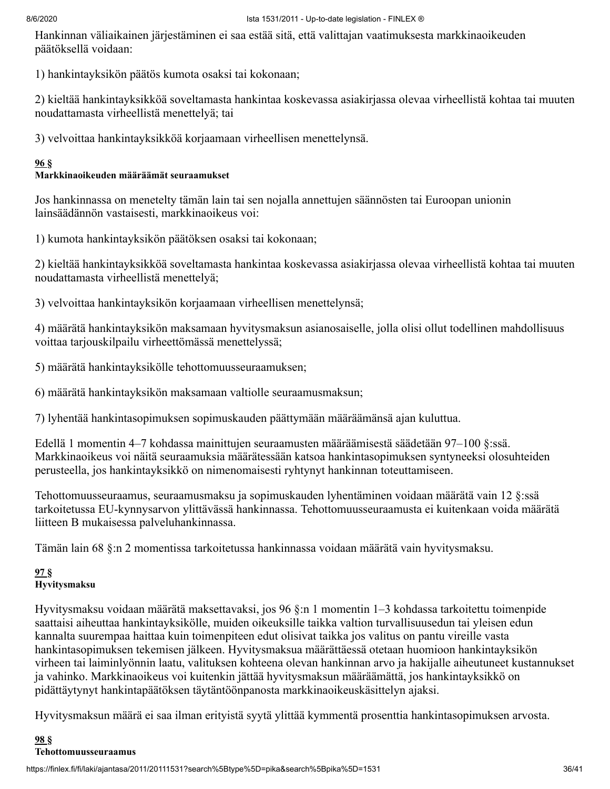Hankinnan väliaikainen järjestäminen ei saa estää sitä, että valittajan vaatimuksesta markkinaoikeuden päätöksellä voidaan:

1) hankintayksikön päätös kumota osaksi tai kokonaan;

2) kieltää hankintayksikköä soveltamasta hankintaa koskevassa asiakirjassa olevaa virheellistä kohtaa tai muuten noudattamasta virheellistä menettelyä; tai

3) velvoittaa hankintayksikköä korjaamaan virheellisen menettelynsä.

#### **[96](#page-39-0) §**

## **Markkinaoikeuden määräämät seuraamukset**

Jos hankinnassa on menetelty tämän lain tai sen nojalla annettujen säännösten tai Euroopan unionin lainsäädännön vastaisesti, markkinaoikeus voi:

1) kumota hankintayksikön päätöksen osaksi tai kokonaan;

2) kieltää hankintayksikköä soveltamasta hankintaa koskevassa asiakirjassa olevaa virheellistä kohtaa tai muuten noudattamasta virheellistä menettelyä;

3) velvoittaa hankintayksikön korjaamaan virheellisen menettelynsä;

4) määrätä hankintayksikön maksamaan hyvitysmaksun asianosaiselle, jolla olisi ollut todellinen mahdollisuus voittaa tarjouskilpailu virheettömässä menettelyssä;

5) määrätä hankintayksikölle tehottomuusseuraamuksen;

6) määrätä hankintayksikön maksamaan valtiolle seuraamusmaksun;

7) lyhentää hankintasopimuksen sopimuskauden päättymään määräämänsä ajan kuluttua.

Edellä 1 momentin 4–7 kohdassa mainittujen seuraamusten määräämisestä säädetään 97–100 §:ssä. Markkinaoikeus voi näitä seuraamuksia määrätessään katsoa hankintasopimuksen syntyneeksi olosuhteiden perusteella, jos hankintayksikkö on nimenomaisesti ryhtynyt hankinnan toteuttamiseen.

Tehottomuusseuraamus, seuraamusmaksu ja sopimuskauden lyhentäminen voidaan määrätä vain 12 §:ssä tarkoitetussa EU-kynnysarvon ylittävässä hankinnassa. Tehottomuusseuraamusta ei kuitenkaan voida määrätä liitteen B mukaisessa palveluhankinnassa.

Tämän lain 68 §:n 2 momentissa tarkoitetussa hankinnassa voidaan määrätä vain hyvitysmaksu.

# **[97](#page-39-0) §**

### **Hyvitysmaksu**

Hyvitysmaksu voidaan määrätä maksettavaksi, jos 96 §:n 1 momentin 1–3 kohdassa tarkoitettu toimenpide saattaisi aiheuttaa hankintayksikölle, muiden oikeuksille taikka valtion turvallisuusedun tai yleisen edun kannalta suurempaa haittaa kuin toimenpiteen edut olisivat taikka jos valitus on pantu vireille vasta hankintasopimuksen tekemisen jälkeen. Hyvitysmaksua määrättäessä otetaan huomioon hankintayksikön virheen tai laiminlyönnin laatu, valituksen kohteena olevan hankinnan arvo ja hakijalle aiheutuneet kustannukset ja vahinko. Markkinaoikeus voi kuitenkin jättää hyvitysmaksun määräämättä, jos hankintayksikkö on pidättäytynyt hankintapäätöksen täytäntöönpanosta markkinaoikeuskäsittelyn ajaksi.

Hyvitysmaksun määrä ei saa ilman erityistä syytä ylittää kymmentä prosenttia hankintasopimuksen arvosta.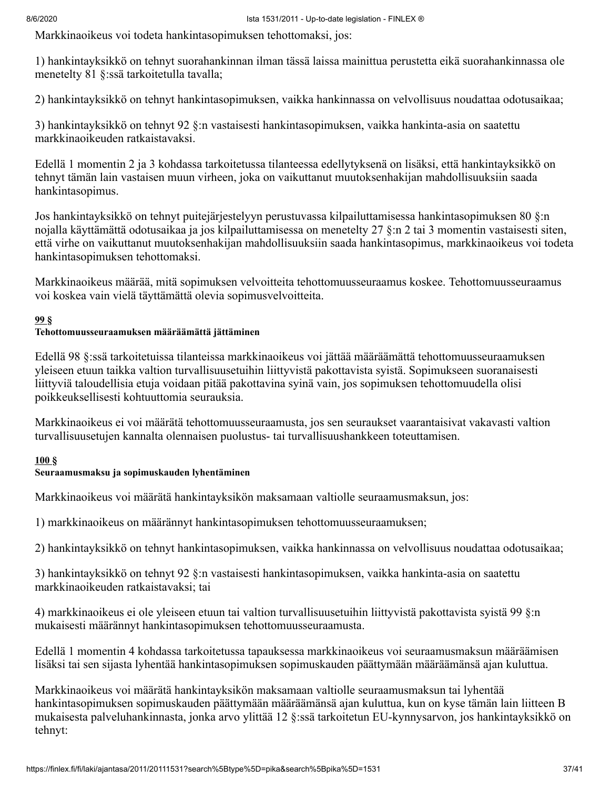Markkinaoikeus voi todeta hankintasopimuksen tehottomaksi, jos:

1) hankintayksikkö on tehnyt suorahankinnan ilman tässä laissa mainittua perustetta eikä suorahankinnassa ole menetelty 81 §:ssä tarkoitetulla tavalla;

2) hankintayksikkö on tehnyt hankintasopimuksen, vaikka hankinnassa on velvollisuus noudattaa odotusaikaa;

3) hankintayksikkö on tehnyt 92 §:n vastaisesti hankintasopimuksen, vaikka hankinta-asia on saatettu markkinaoikeuden ratkaistavaksi.

Edellä 1 momentin 2 ja 3 kohdassa tarkoitetussa tilanteessa edellytyksenä on lisäksi, että hankintayksikkö on tehnyt tämän lain vastaisen muun virheen, joka on vaikuttanut muutoksenhakijan mahdollisuuksiin saada hankintasopimus.

Jos hankintayksikkö on tehnyt puitejärjestelyyn perustuvassa kilpailuttamisessa hankintasopimuksen 80 §:n nojalla käyttämättä odotusaikaa ja jos kilpailuttamisessa on menetelty 27 §:n 2 tai 3 momentin vastaisesti siten, että virhe on vaikuttanut muutoksenhakijan mahdollisuuksiin saada hankintasopimus, markkinaoikeus voi todeta hankintasopimuksen tehottomaksi.

Markkinaoikeus määrää, mitä sopimuksen velvoitteita tehottomuusseuraamus koskee. Tehottomuusseuraamus voi koskea vain vielä täyttämättä olevia sopimusvelvoitteita.

#### **[99](#page-39-0) §**

#### **Tehottomuusseuraamuksen määräämättä jättäminen**

Edellä 98 §:ssä tarkoitetuissa tilanteissa markkinaoikeus voi jättää määräämättä tehottomuusseuraamuksen yleiseen etuun taikka valtion turvallisuusetuihin liittyvistä pakottavista syistä. Sopimukseen suoranaisesti liittyviä taloudellisia etuja voidaan pitää pakottavina syinä vain, jos sopimuksen tehottomuudella olisi poikkeuksellisesti kohtuuttomia seurauksia.

Markkinaoikeus ei voi määrätä tehottomuusseuraamusta, jos sen seuraukset vaarantaisivat vakavasti valtion turvallisuusetujen kannalta olennaisen puolustus- tai turvallisuushankkeen toteuttamisen.

#### **[100](#page-39-0) §**

#### **Seuraamusmaksu ja sopimuskauden lyhentäminen**

Markkinaoikeus voi määrätä hankintayksikön maksamaan valtiolle seuraamusmaksun, jos:

1) markkinaoikeus on määrännyt hankintasopimuksen tehottomuusseuraamuksen;

2) hankintayksikkö on tehnyt hankintasopimuksen, vaikka hankinnassa on velvollisuus noudattaa odotusaikaa;

3) hankintayksikkö on tehnyt 92 §:n vastaisesti hankintasopimuksen, vaikka hankinta-asia on saatettu markkinaoikeuden ratkaistavaksi; tai

4) markkinaoikeus ei ole yleiseen etuun tai valtion turvallisuusetuihin liittyvistä pakottavista syistä 99 §:n mukaisesti määrännyt hankintasopimuksen tehottomuusseuraamusta.

Edellä 1 momentin 4 kohdassa tarkoitetussa tapauksessa markkinaoikeus voi seuraamusmaksun määräämisen lisäksi tai sen sijasta lyhentää hankintasopimuksen sopimuskauden päättymään määräämänsä ajan kuluttua.

Markkinaoikeus voi määrätä hankintayksikön maksamaan valtiolle seuraamusmaksun tai lyhentää hankintasopimuksen sopimuskauden päättymään määräämänsä ajan kuluttua, kun on kyse tämän lain liitteen B mukaisesta palveluhankinnasta, jonka arvo ylittää 12 §:ssä tarkoitetun EU-kynnysarvon, jos hankintayksikkö on tehnyt: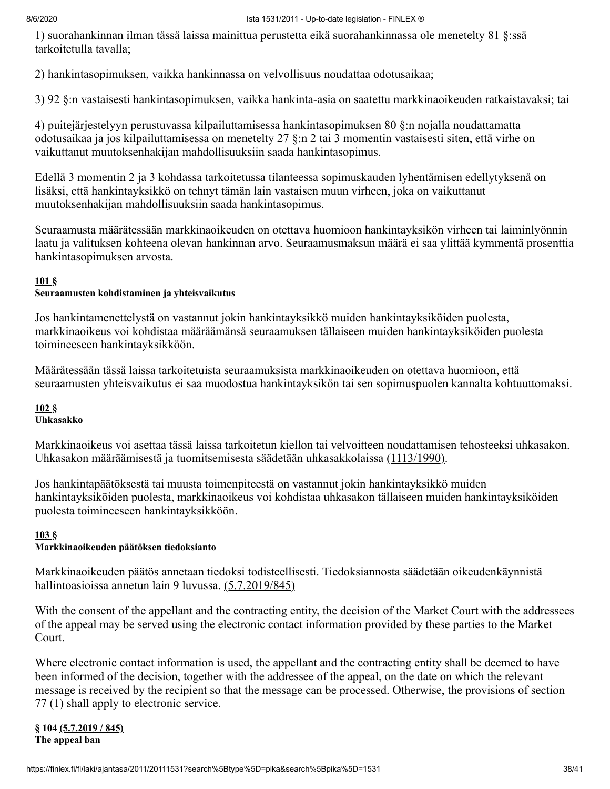1) suorahankinnan ilman tässä laissa mainittua perustetta eikä suorahankinnassa ole menetelty 81 §:ssä tarkoitetulla tavalla;

2) hankintasopimuksen, vaikka hankinnassa on velvollisuus noudattaa odotusaikaa;

3) 92 §:n vastaisesti hankintasopimuksen, vaikka hankinta-asia on saatettu markkinaoikeuden ratkaistavaksi; tai

4) puitejärjestelyyn perustuvassa kilpailuttamisessa hankintasopimuksen 80 §:n nojalla noudattamatta odotusaikaa ja jos kilpailuttamisessa on menetelty 27 §:n 2 tai 3 momentin vastaisesti siten, että virhe on vaikuttanut muutoksenhakijan mahdollisuuksiin saada hankintasopimus.

Edellä 3 momentin 2 ja 3 kohdassa tarkoitetussa tilanteessa sopimuskauden lyhentämisen edellytyksenä on lisäksi, että hankintayksikkö on tehnyt tämän lain vastaisen muun virheen, joka on vaikuttanut muutoksenhakijan mahdollisuuksiin saada hankintasopimus.

Seuraamusta määrätessään markkinaoikeuden on otettava huomioon hankintayksikön virheen tai laiminlyönnin laatu ja valituksen kohteena olevan hankinnan arvo. Seuraamusmaksun määrä ei saa ylittää kymmentä prosenttia hankintasopimuksen arvosta.

#### **[101](#page-39-0) §**

#### **Seuraamusten kohdistaminen ja yhteisvaikutus**

Jos hankintamenettelystä on vastannut jokin hankintayksikkö muiden hankintayksiköiden puolesta, markkinaoikeus voi kohdistaa määräämänsä seuraamuksen tällaiseen muiden hankintayksiköiden puolesta toimineeseen hankintayksikköön.

Määrätessään tässä laissa tarkoitetuista seuraamuksista markkinaoikeuden on otettava huomioon, että seuraamusten yhteisvaikutus ei saa muodostua hankintayksikön tai sen sopimuspuolen kannalta kohtuuttomaksi.

#### **[102](#page-39-0) § Uhkasakko**

Markkinaoikeus voi asettaa tässä laissa tarkoitetun kiellon tai velvoitteen noudattamisen tehosteeksi uhkasakon. Uhkasakon määräämisestä ja tuomitsemisesta säädetään uhkasakkolaissa [\(1113/1990\).](https://finlex.fi/fi/laki/ajantasa/1990/19901113)

Jos hankintapäätöksestä tai muusta toimenpiteestä on vastannut jokin hankintayksikkö muiden hankintayksiköiden puolesta, markkinaoikeus voi kohdistaa uhkasakon tällaiseen muiden hankintayksiköiden puolesta toimineeseen hankintayksikköön.

#### **[103](#page-39-0) §**

### **Markkinaoikeuden päätöksen tiedoksianto**

Markkinaoikeuden päätös annetaan tiedoksi todisteellisesti. Tiedoksiannosta säädetään oikeudenkäynnistä hallintoasioissa annetun lain 9 luvussa. [\(5.7.2019/845\)](#page-40-1)

With the consent of the appellant and the contracting entity, the decision of the Market Court with the addressees of the appeal may be served using the electronic contact information provided by these parties to the Market Court.

Where electronic contact information is used, the appellant and the contracting entity shall be deemed to have been informed of the decision, together with the addressee of the appeal, on the date on which the relevant message is received by the recipient so that the message can be processed. Otherwise, the provisions of section 77 (1) shall apply to electronic service.

#### **§ 104 [\(5.7.2019](#page-40-1) / 845) The appeal ban**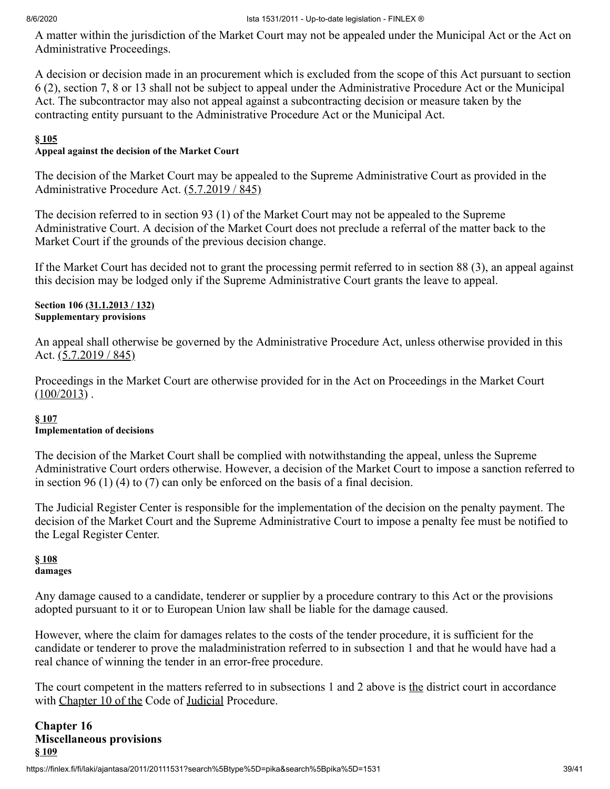A matter within the jurisdiction of the Market Court may not be appealed under the Municipal Act or the Act on Administrative Proceedings.

A decision or decision made in an procurement which is excluded from the scope of this Act pursuant to section 6 (2), section 7, 8 or 13 shall not be subject to appeal under the Administrative Procedure Act or the Municipal Act. The subcontractor may also not appeal against a subcontracting decision or measure taken by the contracting entity pursuant to the Administrative Procedure Act or the Municipal Act.

#### **§ [105](#page-39-0)**

#### **Appeal against the decision of the Market Court**

The decision of the Market Court may be appealed to the Supreme Administrative Court as provided in the Administrative Procedure Act. [\(5.7.2019 / 845\)](#page-40-1)

The decision referred to in section 93 (1) of the Market Court may not be appealed to the Supreme Administrative Court. A decision of the Market Court does not preclude a referral of the matter back to the Market Court if the grounds of the previous decision change.

If the Market Court has decided not to grant the processing permit referred to in section 88 (3), an appeal against this decision may be lodged only if the Supreme Administrative Court grants the leave to appeal.

#### **Section 106 [\(31.1.2013](#page-39-3) / 132) Supplementary provisions**

An appeal shall otherwise be governed by the Administrative Procedure Act, unless otherwise provided in this Act. [\(5.7.2019 / 845\)](#page-40-1)

Proceedings in the Market Court are otherwise provided for in the Act on Proceedings in the Market Court  $(100/2013)$ .

### **§ [107](#page-39-0)**

#### **Implementation of decisions**

The decision of the Market Court shall be complied with notwithstanding the appeal, unless the Supreme Administrative Court orders otherwise. However, a decision of the Market Court to impose a sanction referred to in section 96 (1) (4) to (7) can only be enforced on the basis of a final decision.

The Judicial Register Center is responsible for the implementation of the decision on the penalty payment. The decision of the Market Court and the Supreme Administrative Court to impose a penalty fee must be notified to the Legal Register Center.

#### **§ [108](#page-39-0) damages**

Any damage caused to a candidate, tenderer or supplier by a procedure contrary to this Act or the provisions adopted pursuant to it or to European Union law shall be liable for the damage caused.

However, where the claim for damages relates to the costs of the tender procedure, it is sufficient for the candidate or tenderer to prove the maladministration referred to in subsection 1 and that he would have had a real chance of winning the tender in an error-free procedure.

The court competent in [the](https://finlex.fi/fi/laki/ajantasa/1734/17340004) matters referred to in subsections 1 and 2 above is the district court in accordance with [Chapter 10 of the](https://finlex.fi/fi/laki/ajantasa/1734/17340004) Code of [Judicial](https://finlex.fi/fi/laki/ajantasa/1734/17340004) Procedure.

**Chapter 16 Miscellaneous provisions § [109](#page-39-0)**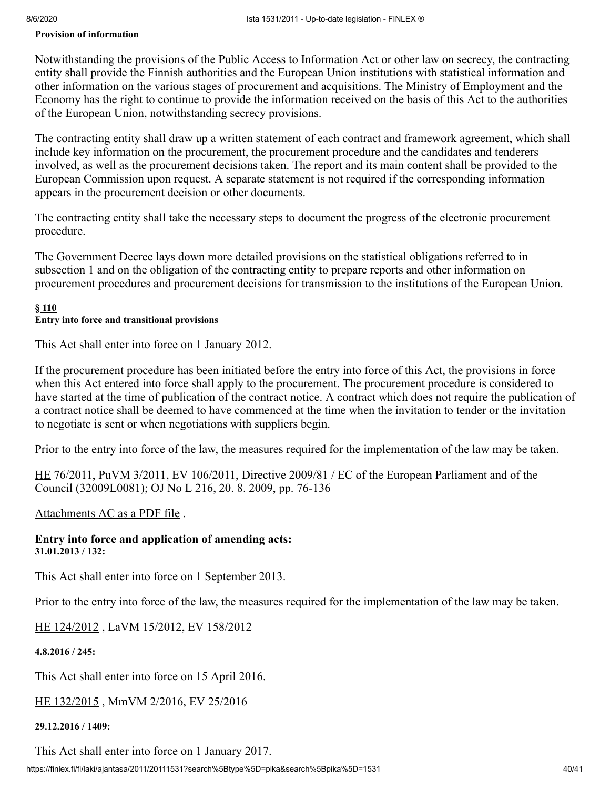#### **Provision of information**

Notwithstanding the provisions of the Public Access to Information Act or other law on secrecy, the contracting entity shall provide the Finnish authorities and the European Union institutions with statistical information and other information on the various stages of procurement and acquisitions. The Ministry of Employment and the Economy has the right to continue to provide the information received on the basis of this Act to the authorities of the European Union, notwithstanding secrecy provisions.

The contracting entity shall draw up a written statement of each contract and framework agreement, which shall include key information on the procurement, the procurement procedure and the candidates and tenderers involved, as well as the procurement decisions taken. The report and its main content shall be provided to the European Commission upon request. A separate statement is not required if the corresponding information appears in the procurement decision or other documents.

The contracting entity shall take the necessary steps to document the progress of the electronic procurement procedure.

The Government Decree lays down more detailed provisions on the statistical obligations referred to in subsection 1 and on the obligation of the contracting entity to prepare reports and other information on procurement procedures and procurement decisions for transmission to the institutions of the European Union.

#### <span id="page-39-0"></span>**§ 110 Entry into force and transitional provisions**

This Act shall enter into force on 1 January 2012.

If the procurement procedure has been initiated before the entry into force of this Act, the provisions in force when this Act entered into force shall apply to the procurement. The procurement procedure is considered to have started at the time of publication of the contract notice. A contract which does not require the publication of a contract notice shall be deemed to have commenced at the time when the invitation to tender or the invitation to negotiate is sent or when negotiations with suppliers begin.

Prior to the entry into force of the law, the measures required for the implementation of the law may be taken.

[HE](https://www.eduskunta.fi/valtiopaivaasiat/he+76/2011) 76/2011, PuVM 3/2011, EV 106/2011, Directive 2009/81 / EC of the European Parliament and of the Council (32009L0081); OJ No L 216, 20. 8. 2009, pp. 76-136

#### [Attachments AC as a PDF file](https://finlex.fi/data/sdliite/liite/6066.pdf) .

<span id="page-39-3"></span>**Entry into force and application of amending acts: 31.01.2013 / 132:**

This Act shall enter into force on 1 September 2013.

Prior to the entry into force of the law, the measures required for the implementation of the law may be taken.

[HE 124/2012](https://www.eduskunta.fi/valtiopaivaasiat/he+124/2012) , LaVM 15/2012, EV 158/2012

<span id="page-39-1"></span>**4.8.2016 / 245:**

This Act shall enter into force on 15 April 2016.

[HE 132/2015](https://www.eduskunta.fi/valtiopaivaasiat/he+132/2015) , MmVM 2/2016, EV 25/2016

### <span id="page-39-2"></span>**29.12.2016 / 1409:**

This Act shall enter into force on 1 January 2017.

https://finlex.fi/fi/laki/ajantasa/2011/20111531?search%5Btype%5D=pika&search%5Bpika%5D=1531 40/41